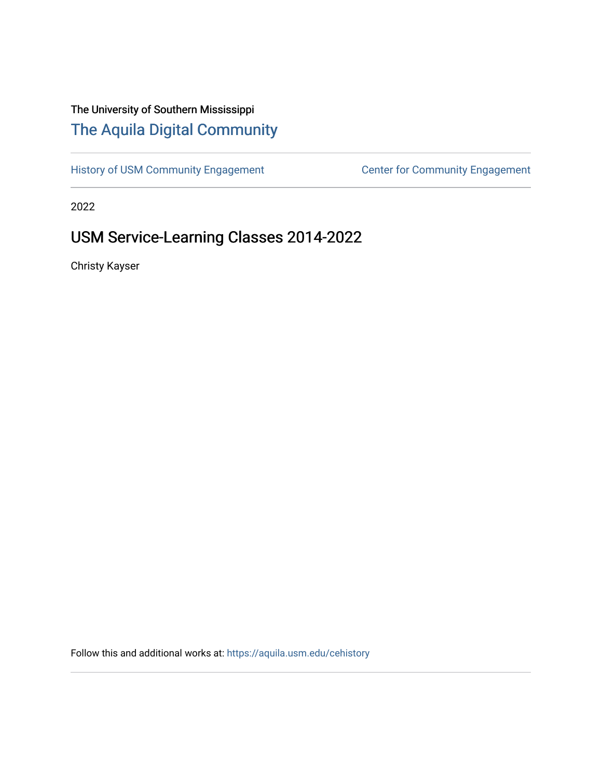# The University of Southern Mississippi [The Aquila Digital Community](https://aquila.usm.edu/)

[History of USM Community Engagement](https://aquila.usm.edu/cehistory) Center for Community Engagement

2022

# USM Service-Learning Classes 2014-2022

Christy Kayser

Follow this and additional works at: [https://aquila.usm.edu/cehistory](https://aquila.usm.edu/cehistory?utm_source=aquila.usm.edu%2Fcehistory%2F1&utm_medium=PDF&utm_campaign=PDFCoverPages)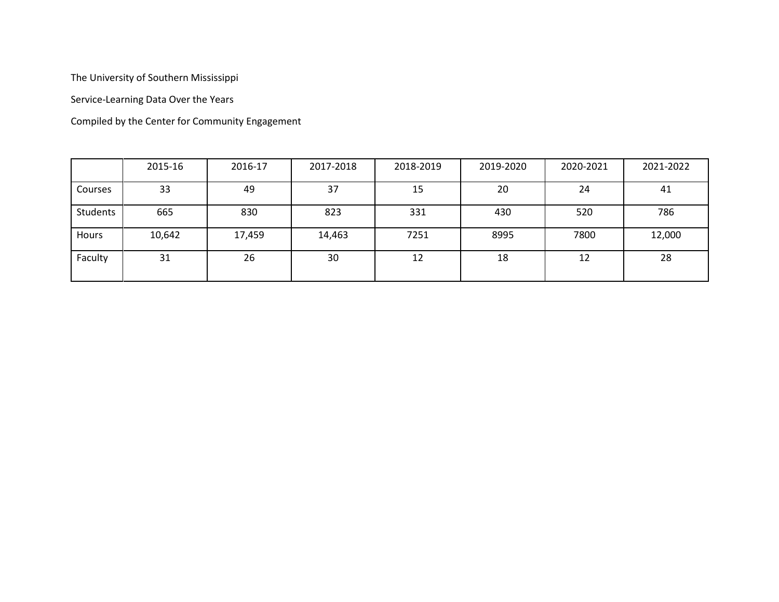The University of Southern Mississippi

Service-Learning Data Over the Years

Compiled by the Center for Community Engagement

|          | 2015-16 | 2016-17 | 2017-2018 | 2018-2019 | 2019-2020 | 2020-2021 | 2021-2022 |
|----------|---------|---------|-----------|-----------|-----------|-----------|-----------|
| Courses  | 33      | 49      | 37        | 15        | 20        | 24        | 41        |
| Students | 665     | 830     | 823       | 331       | 430       | 520       | 786       |
| Hours    | 10,642  | 17,459  | 14,463    | 7251      | 8995      | 7800      | 12,000    |
| Faculty  | 31      | 26      | 30        | 12        | 18        | 12        | 28        |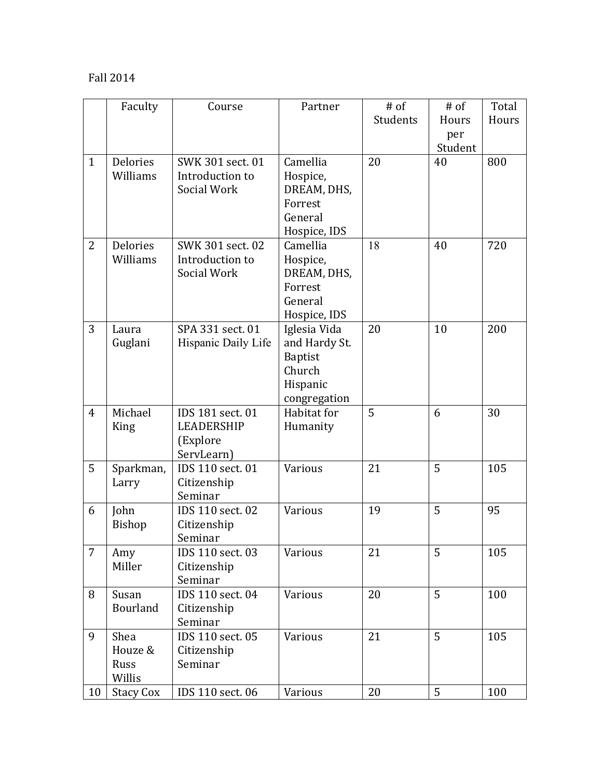### Fall 2014

|                | Faculty          | Course              | Partner        | $#$ of   | $#$ of  | Total |
|----------------|------------------|---------------------|----------------|----------|---------|-------|
|                |                  |                     |                | Students | Hours   | Hours |
|                |                  |                     |                |          | per     |       |
|                |                  |                     |                |          | Student |       |
| $\mathbf{1}$   | <b>Delories</b>  | SWK 301 sect. 01    | Camellia       | 20       | 40      | 800   |
|                | Williams         | Introduction to     | Hospice,       |          |         |       |
|                |                  | Social Work         | DREAM, DHS,    |          |         |       |
|                |                  |                     | Forrest        |          |         |       |
|                |                  |                     | General        |          |         |       |
|                |                  |                     | Hospice, IDS   |          |         |       |
| $\overline{2}$ | <b>Delories</b>  | SWK 301 sect. 02    | Camellia       | 18       | 40      | 720   |
|                | Williams         | Introduction to     | Hospice,       |          |         |       |
|                |                  | Social Work         | DREAM, DHS,    |          |         |       |
|                |                  |                     | Forrest        |          |         |       |
|                |                  |                     | General        |          |         |       |
|                |                  |                     | Hospice, IDS   |          |         |       |
| 3              | Laura            | SPA 331 sect. 01    | Iglesia Vida   | 20       | 10      | 200   |
|                | Guglani          | Hispanic Daily Life | and Hardy St.  |          |         |       |
|                |                  |                     | <b>Baptist</b> |          |         |       |
|                |                  |                     | Church         |          |         |       |
|                |                  |                     | Hispanic       |          |         |       |
|                |                  |                     | congregation   |          |         |       |
| $\overline{4}$ | Michael          | IDS 181 sect. 01    | Habitat for    | 5        | 6       | 30    |
|                | King             | LEADERSHIP          | Humanity       |          |         |       |
|                |                  | (Explore            |                |          |         |       |
|                |                  | ServLearn)          |                |          |         |       |
| 5              | Sparkman,        | IDS 110 sect. 01    | Various        | 21       | 5       | 105   |
|                | Larry            | Citizenship         |                |          |         |       |
|                |                  | Seminar             |                |          |         |       |
| 6              | John             | IDS 110 sect. 02    | Various        | 19       | 5       | 95    |
|                | <b>Bishop</b>    | Citizenship         |                |          |         |       |
|                |                  | Seminar             |                |          |         |       |
| $\overline{7}$ | Amy              | IDS 110 sect. 03    | Various        | 21       | 5       | 105   |
|                | Miller           | Citizenship         |                |          |         |       |
|                |                  | Seminar             |                |          |         |       |
| 8              | Susan            | IDS 110 sect. 04    | Various        | 20       | 5       | 100   |
|                | <b>Bourland</b>  | Citizenship         |                |          |         |       |
|                |                  | Seminar             |                |          |         |       |
| 9              | Shea             | IDS 110 sect. 05    | Various        | 21       | 5       | 105   |
|                | Houze &          | Citizenship         |                |          |         |       |
|                | Russ             | Seminar             |                |          |         |       |
|                | Willis           |                     |                |          |         |       |
| 10             | <b>Stacy Cox</b> | IDS 110 sect. 06    | Various        | 20       | 5       | 100   |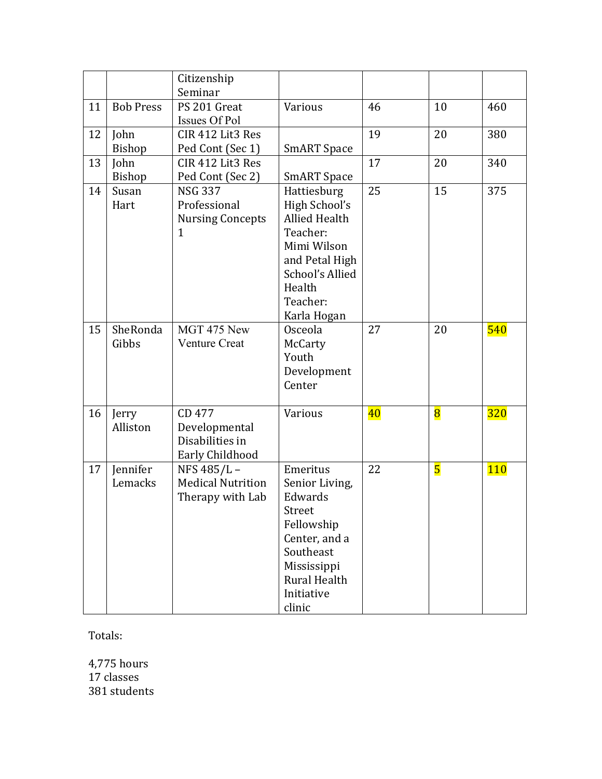|    |                     | Citizenship<br>Seminar                                                    |                                                                                                                                                           |    |                         |            |
|----|---------------------|---------------------------------------------------------------------------|-----------------------------------------------------------------------------------------------------------------------------------------------------------|----|-------------------------|------------|
| 11 | <b>Bob Press</b>    | PS 201 Great<br>Issues Of Pol                                             | Various                                                                                                                                                   | 46 | 10                      | 460        |
| 12 | John<br>Bishop      | CIR 412 Lit3 Res<br>Ped Cont (Sec 1)                                      | <b>SmART</b> Space                                                                                                                                        | 19 | 20                      | 380        |
| 13 | John<br>Bishop      | CIR 412 Lit3 Res<br>Ped Cont (Sec 2)                                      | <b>SmART</b> Space                                                                                                                                        | 17 | 20                      | 340        |
| 14 | Susan<br>Hart       | <b>NSG 337</b><br>Professional<br><b>Nursing Concepts</b><br>$\mathbf{1}$ | Hattiesburg<br>High School's<br><b>Allied Health</b><br>Teacher:<br>Mimi Wilson<br>and Petal High<br>School's Allied<br>Health<br>Teacher:<br>Karla Hogan | 25 | 15                      | 375        |
| 15 | SheRonda<br>Gibbs   | $\overline{M}$ GT 475 New<br><b>Venture Creat</b>                         | Osceola<br>McCarty<br>Youth<br>Development<br>Center                                                                                                      | 27 | 20                      | 540        |
| 16 | Jerry<br>Alliston   | CD 477<br>Developmental<br>Disabilities in<br>Early Childhood             | Various                                                                                                                                                   | 40 | $\overline{\mathbf{8}}$ | <b>320</b> |
| 17 | Jennifer<br>Lemacks | NFS 485/L-<br><b>Medical Nutrition</b><br>Therapy with Lab                | Emeritus<br>Senior Living,<br>Edwards<br>Street<br>Fellowship<br>Center, and a<br>Southeast<br>Mississippi<br>Rural Health<br>Initiative<br>clinic        | 22 | $\overline{\mathbf{5}}$ | <b>110</b> |

Totals:

4,775 hours 17 classes 381 students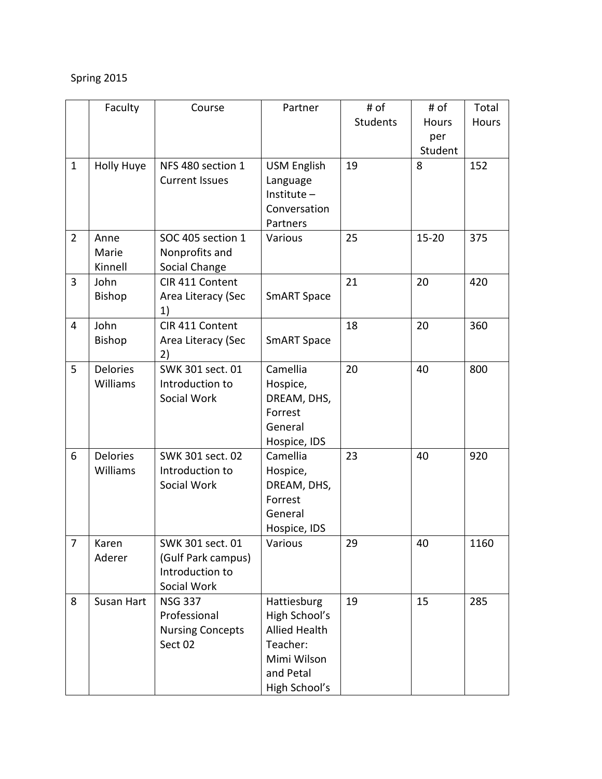## Spring 2015

|                | Faculty           | Course                                 | Partner              | # of            | # of         | Total |
|----------------|-------------------|----------------------------------------|----------------------|-----------------|--------------|-------|
|                |                   |                                        |                      | <b>Students</b> | <b>Hours</b> | Hours |
|                |                   |                                        |                      |                 | per          |       |
|                |                   |                                        |                      |                 | Student      |       |
| $\mathbf{1}$   | <b>Holly Huye</b> | NFS 480 section 1                      | <b>USM English</b>   | 19              | 8            | 152   |
|                |                   | <b>Current Issues</b>                  | Language             |                 |              |       |
|                |                   |                                        | Institute $-$        |                 |              |       |
|                |                   |                                        | Conversation         |                 |              |       |
|                |                   |                                        | Partners             |                 |              |       |
| $\overline{2}$ | Anne              | SOC 405 section 1                      | Various              | 25              | $15 - 20$    | 375   |
|                | Marie             | Nonprofits and                         |                      |                 |              |       |
|                | Kinnell           | Social Change                          |                      |                 |              |       |
| 3              | John              | CIR 411 Content                        |                      | 21              | 20           | 420   |
|                | Bishop            | Area Literacy (Sec                     | <b>SmART Space</b>   |                 |              |       |
|                |                   | 1)                                     |                      |                 |              |       |
| 4              | John              | CIR 411 Content                        |                      | 18              | 20           | 360   |
|                | <b>Bishop</b>     | Area Literacy (Sec                     | <b>SmART Space</b>   |                 |              |       |
|                |                   | 2)                                     |                      |                 |              |       |
| 5              | <b>Delories</b>   | SWK 301 sect. 01                       | Camellia             | 20              | 40           | 800   |
|                | Williams          | Introduction to                        | Hospice,             |                 |              |       |
|                |                   | Social Work                            | DREAM, DHS,          |                 |              |       |
|                |                   |                                        | Forrest              |                 |              |       |
|                |                   |                                        | General              |                 |              |       |
|                |                   |                                        | Hospice, IDS         |                 |              |       |
| 6              | <b>Delories</b>   | SWK 301 sect. 02                       | Camellia             | 23              | 40           | 920   |
|                | Williams          | Introduction to                        | Hospice,             |                 |              |       |
|                |                   | Social Work                            | DREAM, DHS,          |                 |              |       |
|                |                   |                                        | Forrest              |                 |              |       |
|                |                   |                                        | General              |                 |              |       |
| 7              |                   |                                        | Hospice, IDS         | 29              | 40           |       |
|                | Karen<br>Aderer   | SWK 301 sect. 01<br>(Gulf Park campus) | Various              |                 |              | 1160  |
|                |                   | Introduction to                        |                      |                 |              |       |
|                |                   | Social Work                            |                      |                 |              |       |
| 8              | Susan Hart        | <b>NSG 337</b>                         | Hattiesburg          | 19              | 15           | 285   |
|                |                   | Professional                           | High School's        |                 |              |       |
|                |                   | <b>Nursing Concepts</b>                | <b>Allied Health</b> |                 |              |       |
|                |                   | Sect 02                                | Teacher:             |                 |              |       |
|                |                   |                                        | Mimi Wilson          |                 |              |       |
|                |                   |                                        | and Petal            |                 |              |       |
|                |                   |                                        | High School's        |                 |              |       |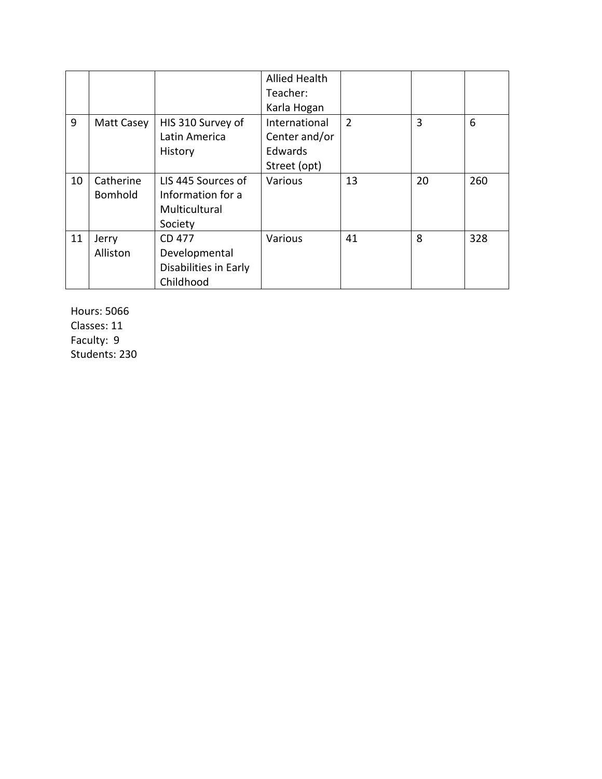|    |                |                       | <b>Allied Health</b> |                |    |     |
|----|----------------|-----------------------|----------------------|----------------|----|-----|
|    |                |                       | Teacher:             |                |    |     |
|    |                |                       | Karla Hogan          |                |    |     |
| 9  | Matt Casey     | HIS 310 Survey of     | International        | $\overline{2}$ | 3  | 6   |
|    |                | Latin America         | Center and/or        |                |    |     |
|    |                | History               | Edwards              |                |    |     |
|    |                |                       | Street (opt)         |                |    |     |
| 10 | Catherine      | LIS 445 Sources of    | Various              | 13             | 20 | 260 |
|    | <b>Bomhold</b> | Information for a     |                      |                |    |     |
|    |                | Multicultural         |                      |                |    |     |
|    |                | Society               |                      |                |    |     |
| 11 | Jerry          | CD 477                | Various              | 41             | 8  | 328 |
|    | Alliston       | Developmental         |                      |                |    |     |
|    |                | Disabilities in Early |                      |                |    |     |
|    |                | Childhood             |                      |                |    |     |

Hours: 5066 Classes: 11 Faculty: 9 Students: 230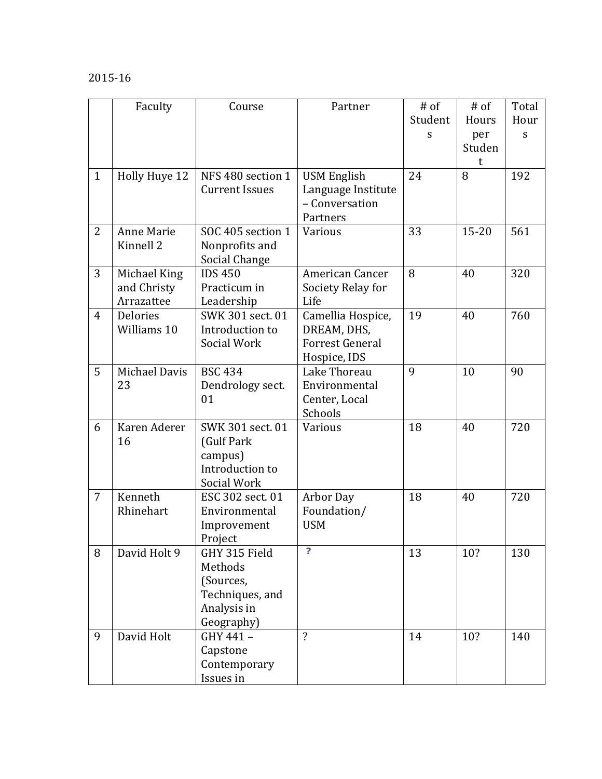### 2015-16

|                | Faculty                                   | Course                                                                                | Partner                                                                    | $#$ of<br>Student<br>S | $#$ of<br>Hours<br>per<br>Studen<br>t | Total<br>Hour<br>${\mathsf S}$ |
|----------------|-------------------------------------------|---------------------------------------------------------------------------------------|----------------------------------------------------------------------------|------------------------|---------------------------------------|--------------------------------|
| $\mathbf{1}$   | Holly Huye 12                             | NFS 480 section 1<br><b>Current Issues</b>                                            | <b>USM English</b><br>Language Institute<br>- Conversation<br>Partners     | 24                     | 8                                     | 192                            |
| $\overline{2}$ | Anne Marie<br>Kinnell <sub>2</sub>        | SOC 405 section 1<br>Nonprofits and<br>Social Change                                  | Various                                                                    | 33                     | $15 - 20$                             | 561                            |
| 3              | Michael King<br>and Christy<br>Arrazattee | <b>IDS 450</b><br>Practicum in<br>Leadership                                          | American Cancer<br>Society Relay for<br>Life                               | 8                      | 40                                    | 320                            |
| $\overline{4}$ | <b>Delories</b><br>Williams 10            | SWK 301 sect. 01<br>Introduction to<br>Social Work                                    | Camellia Hospice,<br>DREAM, DHS,<br><b>Forrest General</b><br>Hospice, IDS | 19                     | 40                                    | 760                            |
| 5              | Michael Davis<br>23                       | <b>BSC 434</b><br>Dendrology sect.<br>01                                              | Lake Thoreau<br>Environmental<br>Center, Local<br>Schools                  | 9                      | 10                                    | 90                             |
| 6              | Karen Aderer<br>16                        | SWK 301 sect. 01<br>(Gulf Park<br>campus)<br>Introduction to<br>Social Work           | Various                                                                    | 18                     | 40                                    | 720                            |
| $\overline{7}$ | Kenneth<br>Rhinehart                      | ESC 302 sect. 01<br>Environmental<br>Improvement<br>Project                           | Arbor Day<br>Foundation/<br><b>USM</b>                                     | 18                     | 40                                    | 720                            |
| 8              | David Holt 9                              | GHY 315 Field<br>Methods<br>(Sources,<br>Techniques, and<br>Analysis in<br>Geography) | $\overline{?}$                                                             | 13                     | 10?                                   | 130                            |
| 9              | David Holt                                | GHY 441-<br>Capstone<br>Contemporary<br>Issues in                                     | $\overline{?}$                                                             | 14                     | 10?                                   | 140                            |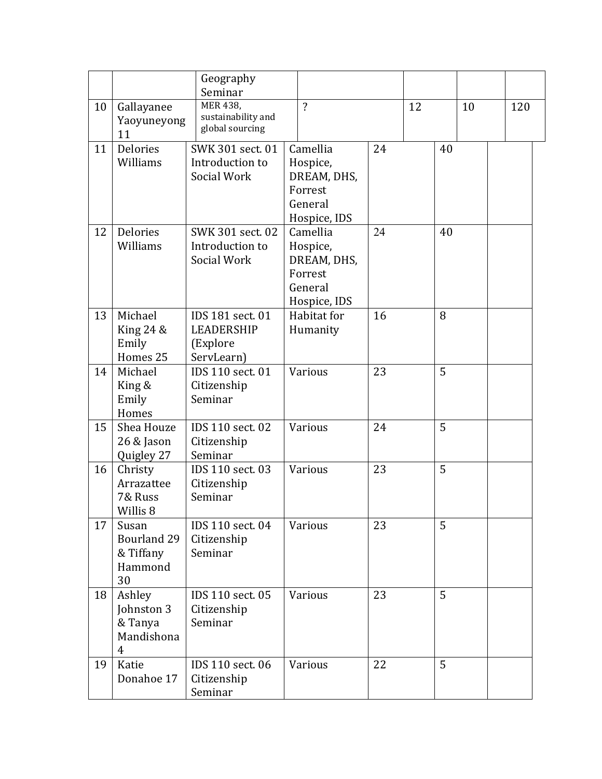|    |                                                                 | Geography<br>Seminar                                            |                                                                           |    |    |    |    |  |     |
|----|-----------------------------------------------------------------|-----------------------------------------------------------------|---------------------------------------------------------------------------|----|----|----|----|--|-----|
| 10 | Gallayanee<br>Yaoyuneyong<br>11                                 | <b>MER 438,</b><br>sustainability and<br>global sourcing        | $\overline{?}$                                                            |    | 12 |    | 10 |  | 120 |
| 11 | <b>Delories</b><br>Williams                                     | SWK 301 sect. 01<br>Introduction to<br>Social Work              | Camellia<br>Hospice,<br>DREAM, DHS,<br>Forrest<br>General<br>Hospice, IDS | 24 |    | 40 |    |  |     |
| 12 | <b>Delories</b><br>Williams                                     | SWK 301 sect. 02<br>Introduction to<br>Social Work              | Camellia<br>Hospice,<br>DREAM, DHS,<br>Forrest<br>General<br>Hospice, IDS | 24 |    | 40 |    |  |     |
| 13 | Michael<br>King $24 &$<br>Emily<br>Homes 25                     | IDS 181 sect. 01<br><b>LEADERSHIP</b><br>(Explore<br>ServLearn) | Habitat for<br>Humanity                                                   | 16 |    | 8  |    |  |     |
| 14 | Michael<br>King &<br>Emily<br>Homes                             | IDS 110 sect. 01<br>Citizenship<br>Seminar                      | <b>Various</b>                                                            | 23 |    | 5  |    |  |     |
| 15 | Shea Houze<br>26 & Jason<br>Quigley 27                          | IDS 110 sect. 02<br>Citizenship<br>Seminar                      | <b>Various</b>                                                            | 24 |    | 5  |    |  |     |
| 16 | Christy<br>Arrazattee<br>7& Russ<br>Willis 8                    | IDS 110 sect. 03<br>Citizenship<br>Seminar                      | <b>Various</b>                                                            | 23 |    | 5  |    |  |     |
| 17 | Susan<br><b>Bourland 29</b><br>& Tiffany<br>Hammond<br>30       | IDS 110 sect. 04<br>Citizenship<br>Seminar                      | Various                                                                   | 23 |    | 5  |    |  |     |
| 18 | Ashley<br>Johnston 3<br>& Tanya<br>Mandishona<br>$\overline{4}$ | IDS 110 sect. 05<br>Citizenship<br>Seminar                      | Various                                                                   | 23 |    | 5  |    |  |     |
| 19 | Katie<br>Donahoe 17                                             | IDS 110 sect. 06<br>Citizenship<br>Seminar                      | Various                                                                   | 22 |    | 5  |    |  |     |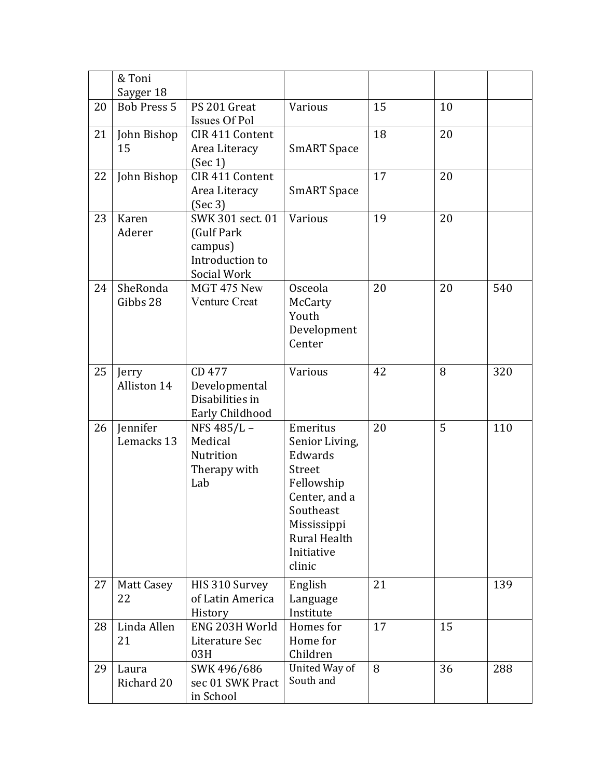|    | & Toni                          |                                                                             |                                                                                                                                                    |    |    |     |
|----|---------------------------------|-----------------------------------------------------------------------------|----------------------------------------------------------------------------------------------------------------------------------------------------|----|----|-----|
| 20 | Sayger 18<br><b>Bob Press 5</b> | PS 201 Great                                                                | Various                                                                                                                                            | 15 | 10 |     |
|    |                                 | Issues Of Pol                                                               |                                                                                                                                                    |    |    |     |
| 21 | John Bishop<br>15               | CIR 411 Content<br>Area Literacy<br>(Sec 1)                                 | <b>SmART</b> Space                                                                                                                                 | 18 | 20 |     |
| 22 | John Bishop                     | CIR 411 Content<br>Area Literacy<br>(Sec 3)                                 | <b>SmART</b> Space                                                                                                                                 | 17 | 20 |     |
| 23 | Karen<br>Aderer                 | SWK 301 sect. 01<br>(Gulf Park<br>campus)<br>Introduction to<br>Social Work | Various                                                                                                                                            | 19 | 20 |     |
| 24 | SheRonda<br>Gibbs 28            | MGT 475 New<br><b>Venture Creat</b>                                         | Osceola<br>McCarty<br>Youth<br>Development<br>Center                                                                                               | 20 | 20 | 540 |
| 25 | Jerry<br>Alliston 14            | CD 477<br>Developmental<br>Disabilities in<br>Early Childhood               | Various                                                                                                                                            | 42 | 8  | 320 |
| 26 | Jennifer<br>Lemacks 13          | NFS 485/L-<br>Medical<br>Nutrition<br>Therapy with<br>Lab                   | Emeritus<br>Senior Living,<br>Edwards<br>Street<br>Fellowship<br>Center, and a<br>Southeast<br>Mississippi<br>Rural Health<br>Initiative<br>clinic | 20 | 5  | 110 |
| 27 | <b>Matt Casey</b><br>22         | HIS 310 Survey<br>of Latin America<br>History                               | English<br>Language<br>Institute                                                                                                                   | 21 |    | 139 |
| 28 | Linda Allen<br>21               | ENG 203H World<br>Literature Sec<br>03H                                     | Homes for<br>Home for<br>Children                                                                                                                  | 17 | 15 |     |
| 29 | Laura<br>Richard 20             | SWK 496/686<br>sec 01 SWK Pract<br>in School                                | United Way of<br>South and                                                                                                                         | 8  | 36 | 288 |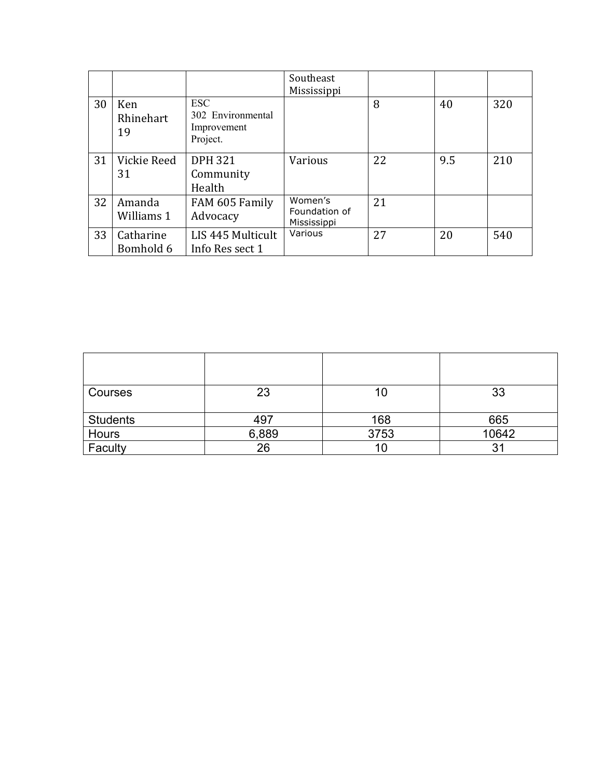|    |                        |                                                            | Southeast<br>Mississippi                |    |     |     |
|----|------------------------|------------------------------------------------------------|-----------------------------------------|----|-----|-----|
| 30 | Ken<br>Rhinehart<br>19 | <b>ESC</b><br>302 Environmental<br>Improvement<br>Project. |                                         | 8  | 40  | 320 |
| 31 | Vickie Reed<br>31      | <b>DPH 321</b><br>Community<br>Health                      | Various                                 | 22 | 9.5 | 210 |
| 32 | Amanda<br>Williams 1   | FAM 605 Family<br>Advocacy                                 | Women's<br>Foundation of<br>Mississippi | 21 |     |     |
| 33 | Catharine<br>Bomhold 6 | LIS 445 Multicult<br>Info Res sect 1                       | Various                                 | 27 | 20  | 540 |

| Courses         | 23    | ΊU   | 33    |
|-----------------|-------|------|-------|
| <b>Students</b> | 497   | 168  | 665   |
| Hours           | 6,889 | 3753 | 10642 |
| Faculty         | 26    |      |       |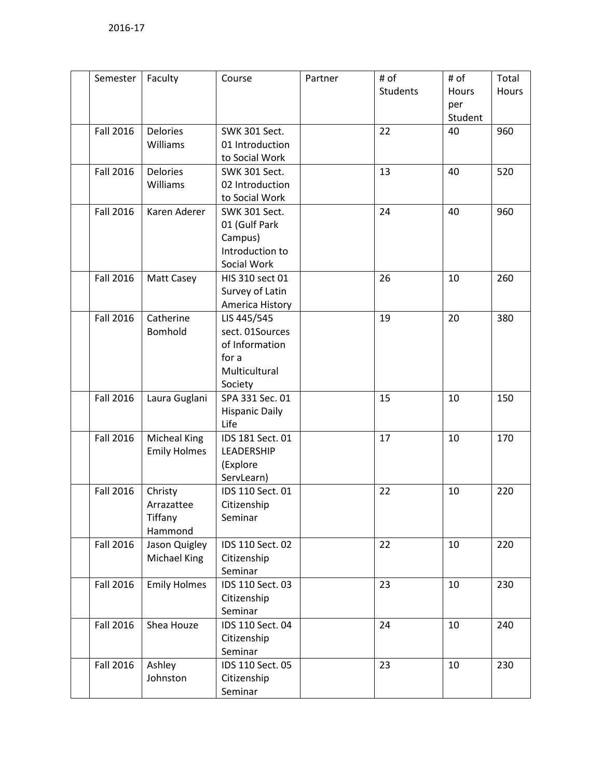| Semester         | Faculty             | Course                | Partner | # of     | # of    | Total |
|------------------|---------------------|-----------------------|---------|----------|---------|-------|
|                  |                     |                       |         | Students | Hours   | Hours |
|                  |                     |                       |         |          | per     |       |
|                  |                     |                       |         |          | Student |       |
| <b>Fall 2016</b> | <b>Delories</b>     | <b>SWK 301 Sect.</b>  |         | 22       | 40      | 960   |
|                  | Williams            | 01 Introduction       |         |          |         |       |
|                  |                     | to Social Work        |         |          |         |       |
| <b>Fall 2016</b> | <b>Delories</b>     | <b>SWK 301 Sect.</b>  |         | 13       | 40      | 520   |
|                  | Williams            | 02 Introduction       |         |          |         |       |
|                  |                     | to Social Work        |         |          |         |       |
| <b>Fall 2016</b> | Karen Aderer        | SWK 301 Sect.         |         | 24       | 40      | 960   |
|                  |                     | 01 (Gulf Park         |         |          |         |       |
|                  |                     | Campus)               |         |          |         |       |
|                  |                     | Introduction to       |         |          |         |       |
|                  |                     | Social Work           |         |          |         |       |
| <b>Fall 2016</b> | <b>Matt Casey</b>   | HIS 310 sect 01       |         | 26       | 10      | 260   |
|                  |                     | Survey of Latin       |         |          |         |       |
|                  |                     | America History       |         |          |         |       |
| <b>Fall 2016</b> | Catherine           | LIS 445/545           |         | 19       | 20      | 380   |
|                  | Bomhold             | sect. 01Sources       |         |          |         |       |
|                  |                     | of Information        |         |          |         |       |
|                  |                     | for a                 |         |          |         |       |
|                  |                     | Multicultural         |         |          |         |       |
|                  |                     | Society               |         |          |         |       |
| Fall 2016        | Laura Guglani       | SPA 331 Sec. 01       |         | 15       | 10      | 150   |
|                  |                     | <b>Hispanic Daily</b> |         |          |         |       |
|                  |                     | Life                  |         |          |         |       |
| <b>Fall 2016</b> | <b>Micheal King</b> | IDS 181 Sect. 01      |         | 17       | 10      | 170   |
|                  | <b>Emily Holmes</b> | LEADERSHIP            |         |          |         |       |
|                  |                     | (Explore              |         |          |         |       |
|                  |                     | ServLearn)            |         |          |         |       |
| <b>Fall 2016</b> | Christy             | IDS 110 Sect. 01      |         | 22       | 10      | 220   |
|                  | Arrazattee          | Citizenship           |         |          |         |       |
|                  | Tiffany             | Seminar               |         |          |         |       |
|                  | Hammond             |                       |         |          |         |       |
| <b>Fall 2016</b> | Jason Quigley       | IDS 110 Sect. 02      |         | 22       | 10      | 220   |
|                  | Michael King        | Citizenship           |         |          |         |       |
|                  |                     | Seminar               |         |          |         |       |
| Fall 2016        | <b>Emily Holmes</b> | IDS 110 Sect. 03      |         | 23       | 10      | 230   |
|                  |                     | Citizenship           |         |          |         |       |
|                  |                     | Seminar               |         |          |         |       |
| <b>Fall 2016</b> | Shea Houze          | IDS 110 Sect. 04      |         | 24       | 10      | 240   |
|                  |                     | Citizenship           |         |          |         |       |
|                  |                     | Seminar               |         |          |         |       |
| Fall 2016        | Ashley              | IDS 110 Sect. 05      |         | 23       | 10      | 230   |
|                  | Johnston            | Citizenship           |         |          |         |       |
|                  |                     | Seminar               |         |          |         |       |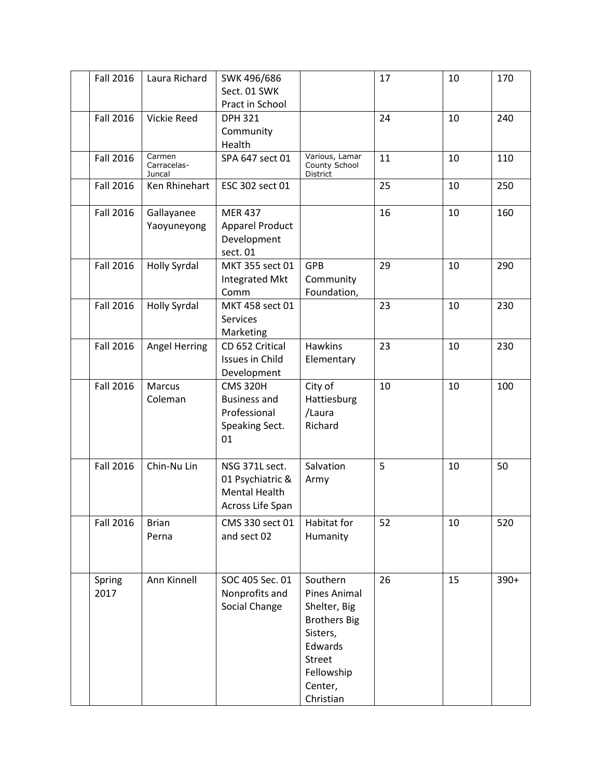| <b>Fall 2016</b> | Laura Richard                   | SWK 496/686<br>Sect. 01 SWK<br>Pract in School                                 |                                                                                                                                                      | 17 | 10 | 170    |
|------------------|---------------------------------|--------------------------------------------------------------------------------|------------------------------------------------------------------------------------------------------------------------------------------------------|----|----|--------|
| <b>Fall 2016</b> | Vickie Reed                     | <b>DPH 321</b><br>Community<br>Health                                          |                                                                                                                                                      | 24 | 10 | 240    |
| <b>Fall 2016</b> | Carmen<br>Carracelas-<br>Juncal | SPA 647 sect 01                                                                | Various, Lamar<br>County School<br>District                                                                                                          | 11 | 10 | 110    |
| <b>Fall 2016</b> | Ken Rhinehart                   | ESC 302 sect 01                                                                |                                                                                                                                                      | 25 | 10 | 250    |
| Fall 2016        | Gallayanee<br>Yaoyuneyong       | <b>MER 437</b><br><b>Apparel Product</b><br>Development<br>sect. 01            |                                                                                                                                                      | 16 | 10 | 160    |
| <b>Fall 2016</b> | <b>Holly Syrdal</b>             | MKT 355 sect 01<br>Integrated Mkt<br>Comm                                      | <b>GPB</b><br>Community<br>Foundation,                                                                                                               | 29 | 10 | 290    |
| <b>Fall 2016</b> | <b>Holly Syrdal</b>             | MKT 458 sect 01<br>Services<br>Marketing                                       |                                                                                                                                                      | 23 | 10 | 230    |
| <b>Fall 2016</b> | Angel Herring                   | CD 652 Critical<br>Issues in Child<br>Development                              | <b>Hawkins</b><br>Elementary                                                                                                                         | 23 | 10 | 230    |
| <b>Fall 2016</b> | Marcus<br>Coleman               | <b>CMS 320H</b><br><b>Business and</b><br>Professional<br>Speaking Sect.<br>01 | City of<br>Hattiesburg<br>/Laura<br>Richard                                                                                                          | 10 | 10 | 100    |
| <b>Fall 2016</b> | Chin-Nu Lin                     | NSG 371L sect.<br>01 Psychiatric &<br><b>Mental Health</b><br>Across Life Span | Salvation<br>Army                                                                                                                                    | 5  | 10 | 50     |
| Fall 2016        | <b>Brian</b><br>Perna           | CMS 330 sect 01<br>and sect 02                                                 | Habitat for<br>Humanity                                                                                                                              | 52 | 10 | 520    |
| Spring<br>2017   | Ann Kinnell                     | SOC 405 Sec. 01<br>Nonprofits and<br>Social Change                             | Southern<br><b>Pines Animal</b><br>Shelter, Big<br><b>Brothers Big</b><br>Sisters,<br>Edwards<br><b>Street</b><br>Fellowship<br>Center,<br>Christian | 26 | 15 | $390+$ |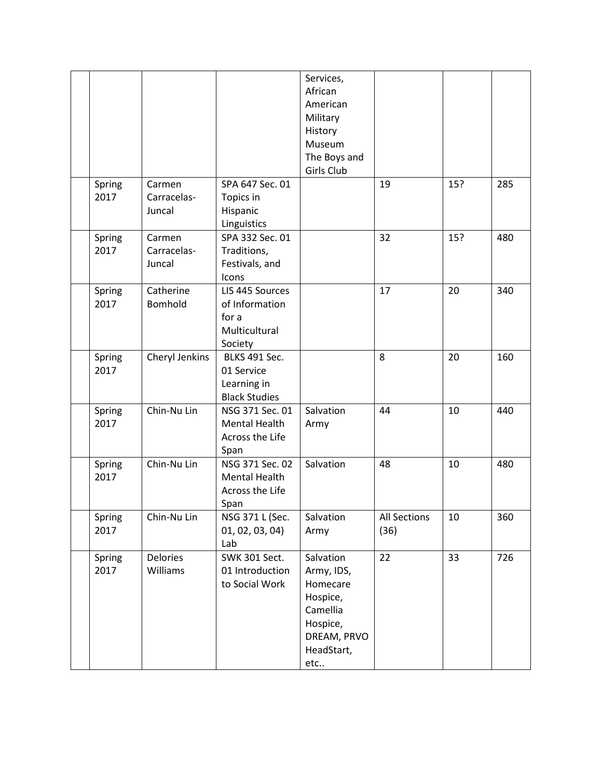|                |                                 |                                                                           | Services,<br>African<br>American<br>Military<br>History<br>Museum<br>The Boys and<br>Girls Club             |                             |     |     |
|----------------|---------------------------------|---------------------------------------------------------------------------|-------------------------------------------------------------------------------------------------------------|-----------------------------|-----|-----|
| Spring<br>2017 | Carmen<br>Carracelas-<br>Juncal | SPA 647 Sec. 01<br>Topics in<br>Hispanic<br>Linguistics                   |                                                                                                             | 19                          | 15? | 285 |
| Spring<br>2017 | Carmen<br>Carracelas-<br>Juncal | SPA 332 Sec. 01<br>Traditions,<br>Festivals, and<br>Icons                 |                                                                                                             | 32                          | 15? | 480 |
| Spring<br>2017 | Catherine<br>Bomhold            | LIS 445 Sources<br>of Information<br>for a<br>Multicultural<br>Society    |                                                                                                             | 17                          | 20  | 340 |
| Spring<br>2017 | Cheryl Jenkins                  | <b>BLKS 491 Sec.</b><br>01 Service<br>Learning in<br><b>Black Studies</b> |                                                                                                             | 8                           | 20  | 160 |
| Spring<br>2017 | Chin-Nu Lin                     | NSG 371 Sec. 01<br><b>Mental Health</b><br>Across the Life<br>Span        | Salvation<br>Army                                                                                           | 44                          | 10  | 440 |
| Spring<br>2017 | Chin-Nu Lin                     | NSG 371 Sec. 02<br><b>Mental Health</b><br>Across the Life<br>Span        | Salvation                                                                                                   | 48                          | 10  | 480 |
| Spring<br>2017 | Chin-Nu Lin                     | NSG 371 L (Sec.<br>01, 02, 03, 04)<br>Lab                                 | Salvation<br>Army                                                                                           | <b>All Sections</b><br>(36) | 10  | 360 |
| Spring<br>2017 | <b>Delories</b><br>Williams     | SWK 301 Sect.<br>01 Introduction<br>to Social Work                        | Salvation<br>Army, IDS,<br>Homecare<br>Hospice,<br>Camellia<br>Hospice,<br>DREAM, PRVO<br>HeadStart,<br>etc | 22                          | 33  | 726 |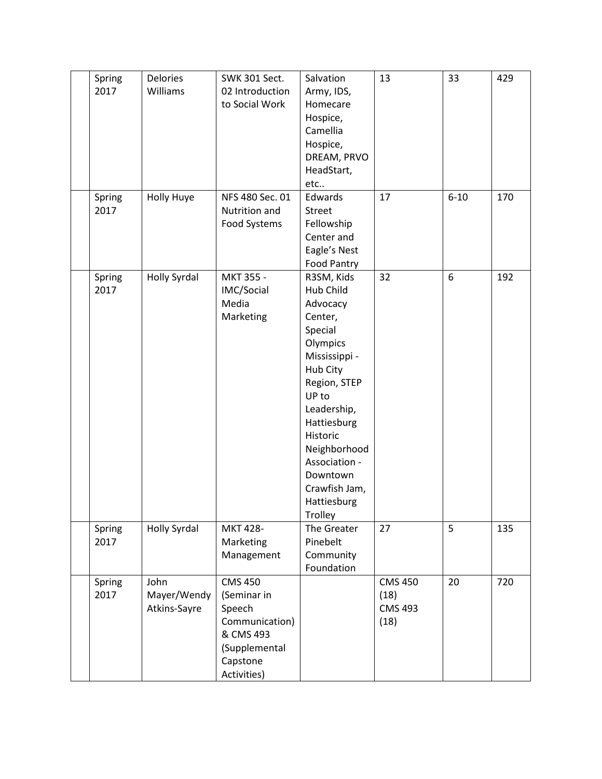| Spring<br>2017 | <b>Delories</b><br>Williams         | <b>SWK 301 Sect.</b><br>02 Introduction<br>to Social Work                                                          | Salvation<br>Army, IDS,<br>Homecare<br>Hospice,<br>Camellia<br>Hospice,<br>DREAM, PRVO<br>HeadStart,<br>etc                                                                                                                                                   | 13                                               | 33       | 429 |
|----------------|-------------------------------------|--------------------------------------------------------------------------------------------------------------------|---------------------------------------------------------------------------------------------------------------------------------------------------------------------------------------------------------------------------------------------------------------|--------------------------------------------------|----------|-----|
| Spring<br>2017 | <b>Holly Huye</b>                   | NFS 480 Sec. 01<br>Nutrition and<br>Food Systems                                                                   | Edwards<br><b>Street</b><br>Fellowship<br>Center and<br>Eagle's Nest<br>Food Pantry                                                                                                                                                                           | 17                                               | $6 - 10$ | 170 |
| Spring<br>2017 | <b>Holly Syrdal</b>                 | MKT 355 -<br>IMC/Social<br>Media<br>Marketing                                                                      | R3SM, Kids<br>Hub Child<br>Advocacy<br>Center,<br>Special<br>Olympics<br>Mississippi -<br>Hub City<br>Region, STEP<br>UP to<br>Leadership,<br>Hattiesburg<br>Historic<br>Neighborhood<br>Association -<br>Downtown<br>Crawfish Jam,<br>Hattiesburg<br>Trolley | 32                                               | 6        | 192 |
| Spring<br>2017 | <b>Holly Syrdal</b>                 | MKT 428-<br>Marketing<br>Management                                                                                | The Greater<br>Pinebelt<br>Community<br>Foundation                                                                                                                                                                                                            | 27                                               | 5        | 135 |
| Spring<br>2017 | John<br>Mayer/Wendy<br>Atkins-Sayre | <b>CMS 450</b><br>(Seminar in<br>Speech<br>Communication)<br>& CMS 493<br>(Supplemental<br>Capstone<br>Activities) |                                                                                                                                                                                                                                                               | <b>CMS 450</b><br>(18)<br><b>CMS 493</b><br>(18) | 20       | 720 |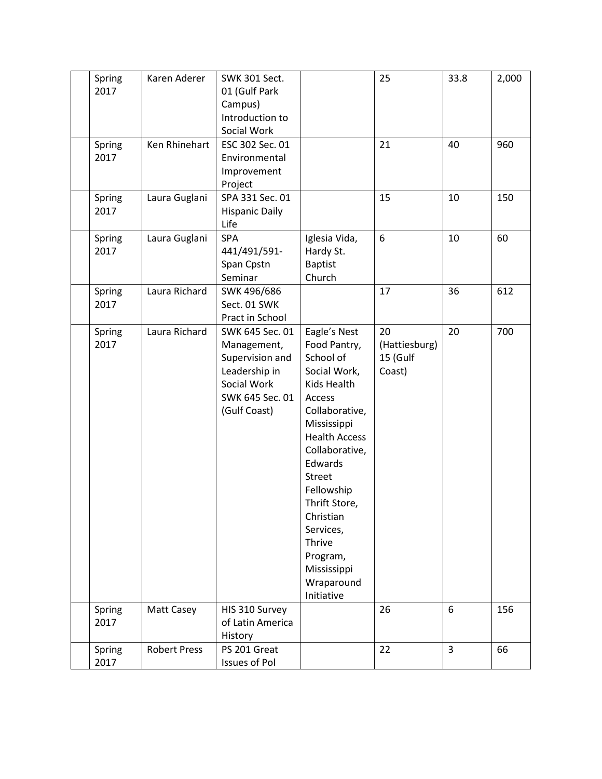| Spring<br>2017 | Karen Aderer        | <b>SWK 301 Sect.</b><br>01 (Gulf Park<br>Campus)<br>Introduction to<br>Social Work                                   |                                                                                                                                                                                                                                                                                                              | 25                                        | 33.8           | 2,000 |
|----------------|---------------------|----------------------------------------------------------------------------------------------------------------------|--------------------------------------------------------------------------------------------------------------------------------------------------------------------------------------------------------------------------------------------------------------------------------------------------------------|-------------------------------------------|----------------|-------|
| Spring<br>2017 | Ken Rhinehart       | ESC 302 Sec. 01<br>Environmental<br>Improvement<br>Project                                                           |                                                                                                                                                                                                                                                                                                              | 21                                        | 40             | 960   |
| Spring<br>2017 | Laura Guglani       | SPA 331 Sec. 01<br><b>Hispanic Daily</b><br>Life                                                                     |                                                                                                                                                                                                                                                                                                              | 15                                        | 10             | 150   |
| Spring<br>2017 | Laura Guglani       | SPA<br>441/491/591-<br>Span Cpstn<br>Seminar                                                                         | Iglesia Vida,<br>Hardy St.<br><b>Baptist</b><br>Church                                                                                                                                                                                                                                                       | 6                                         | 10             | 60    |
| Spring<br>2017 | Laura Richard       | SWK 496/686<br>Sect. 01 SWK<br>Pract in School                                                                       |                                                                                                                                                                                                                                                                                                              | 17                                        | 36             | 612   |
| Spring<br>2017 | Laura Richard       | SWK 645 Sec. 01<br>Management,<br>Supervision and<br>Leadership in<br>Social Work<br>SWK 645 Sec. 01<br>(Gulf Coast) | Eagle's Nest<br>Food Pantry,<br>School of<br>Social Work,<br>Kids Health<br>Access<br>Collaborative,<br>Mississippi<br><b>Health Access</b><br>Collaborative,<br>Edwards<br>Street<br>Fellowship<br>Thrift Store,<br>Christian<br>Services,<br>Thrive<br>Program,<br>Mississippi<br>Wraparound<br>Initiative | 20<br>(Hattiesburg)<br>15 (Gulf<br>Coast) | 20             | 700   |
| Spring<br>2017 | Matt Casey          | HIS 310 Survey<br>of Latin America<br>History                                                                        |                                                                                                                                                                                                                                                                                                              | 26                                        | 6              | 156   |
| Spring<br>2017 | <b>Robert Press</b> | PS 201 Great<br><b>Issues of Pol</b>                                                                                 |                                                                                                                                                                                                                                                                                                              | 22                                        | $\overline{3}$ | 66    |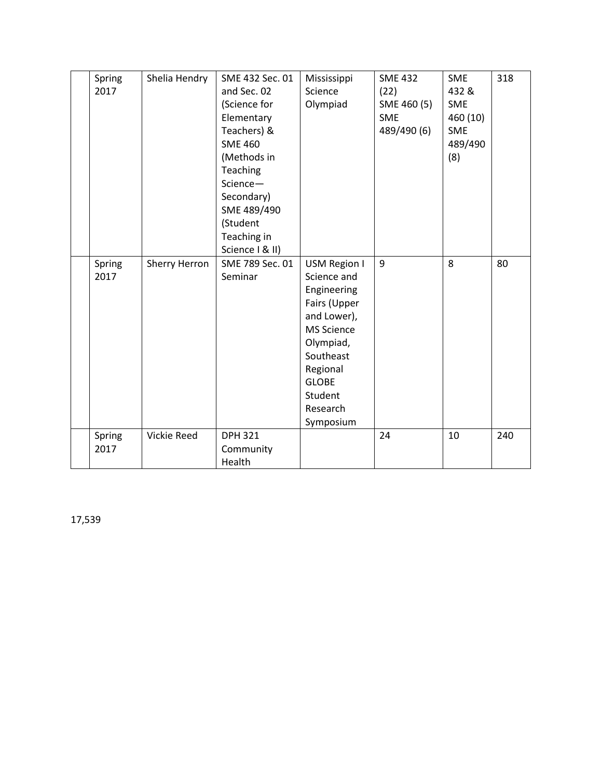| Spring<br>2017 | Shelia Hendry | SME 432 Sec. 01<br>and Sec. 02<br>(Science for<br>Elementary<br>Teachers) &<br><b>SME 460</b><br>(Methods in<br>Teaching<br>Science-<br>Secondary)<br>SME 489/490<br>(Student<br>Teaching in<br>Science   & II) | Mississippi<br>Science<br>Olympiad                                                                                                                                                       | <b>SME 432</b><br>(22)<br>SME 460 (5)<br><b>SME</b><br>489/490 (6) | <b>SME</b><br>432 &<br><b>SME</b><br>460 (10)<br>SME<br>489/490<br>(8) | 318 |
|----------------|---------------|-----------------------------------------------------------------------------------------------------------------------------------------------------------------------------------------------------------------|------------------------------------------------------------------------------------------------------------------------------------------------------------------------------------------|--------------------------------------------------------------------|------------------------------------------------------------------------|-----|
| Spring<br>2017 | Sherry Herron | SME 789 Sec. 01<br>Seminar                                                                                                                                                                                      | USM Region I<br>Science and<br>Engineering<br>Fairs (Upper<br>and Lower),<br><b>MS Science</b><br>Olympiad,<br>Southeast<br>Regional<br><b>GLOBE</b><br>Student<br>Research<br>Symposium | 9                                                                  | 8                                                                      | 80  |
| Spring<br>2017 | Vickie Reed   | <b>DPH 321</b><br>Community<br>Health                                                                                                                                                                           |                                                                                                                                                                                          | 24                                                                 | 10                                                                     | 240 |

17,539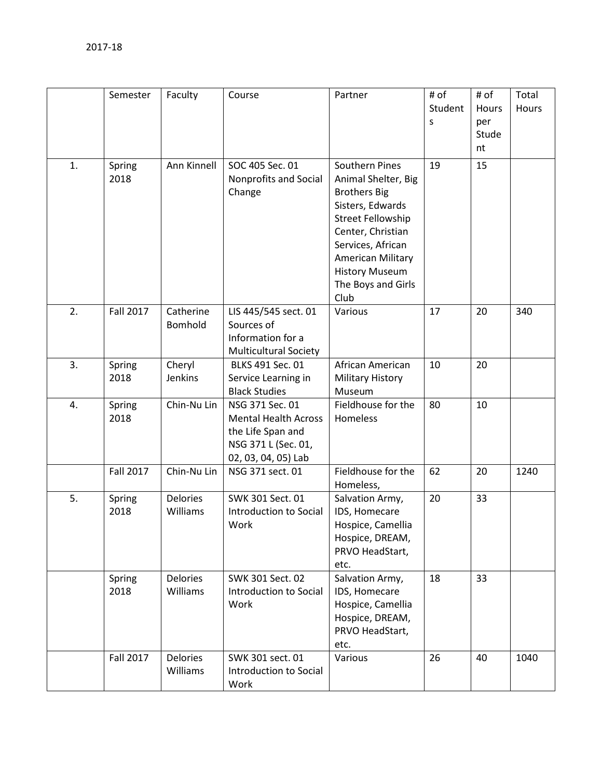|    | Semester         | Faculty                     | Course                                                                                                            | Partner                                                                                                                                                                                                                            | # of<br>Student<br>S | # of<br>Hours<br>per<br>Stude<br>nt | Total<br>Hours |
|----|------------------|-----------------------------|-------------------------------------------------------------------------------------------------------------------|------------------------------------------------------------------------------------------------------------------------------------------------------------------------------------------------------------------------------------|----------------------|-------------------------------------|----------------|
| 1. | Spring<br>2018   | Ann Kinnell                 | SOC 405 Sec. 01<br>Nonprofits and Social<br>Change                                                                | Southern Pines<br>Animal Shelter, Big<br><b>Brothers Big</b><br>Sisters, Edwards<br><b>Street Fellowship</b><br>Center, Christian<br>Services, African<br>American Military<br><b>History Museum</b><br>The Boys and Girls<br>Club | 19                   | 15                                  |                |
| 2. | Fall 2017        | Catherine<br>Bomhold        | LIS 445/545 sect. 01<br>Sources of<br>Information for a<br><b>Multicultural Society</b>                           | Various                                                                                                                                                                                                                            | 17                   | 20                                  | 340            |
| 3. | Spring<br>2018   | Cheryl<br>Jenkins           | BLKS 491 Sec. 01<br>Service Learning in<br><b>Black Studies</b>                                                   | African American<br><b>Military History</b><br>Museum                                                                                                                                                                              | 10                   | 20                                  |                |
| 4. | Spring<br>2018   | Chin-Nu Lin                 | NSG 371 Sec. 01<br><b>Mental Health Across</b><br>the Life Span and<br>NSG 371 L (Sec. 01,<br>02, 03, 04, 05) Lab | Fieldhouse for the<br>Homeless                                                                                                                                                                                                     | 80                   | 10                                  |                |
|    | <b>Fall 2017</b> | Chin-Nu Lin                 | NSG 371 sect. 01                                                                                                  | Fieldhouse for the<br>Homeless,                                                                                                                                                                                                    | 62                   | 20                                  | 1240           |
| 5. | Spring<br>2018   | <b>Delories</b><br>Williams | SWK 301 Sect. 01<br>Introduction to Social<br>Work                                                                | Salvation Army,<br>IDS, Homecare<br>Hospice, Camellia<br>Hospice, DREAM,<br>PRVO HeadStart,<br>etc.                                                                                                                                | 20                   | 33                                  |                |
|    | Spring<br>2018   | <b>Delories</b><br>Williams | SWK 301 Sect. 02<br>Introduction to Social<br>Work                                                                | Salvation Army,<br>IDS, Homecare<br>Hospice, Camellia<br>Hospice, DREAM,<br>PRVO HeadStart,<br>etc.                                                                                                                                | 18                   | 33                                  |                |
|    | Fall 2017        | <b>Delories</b><br>Williams | SWK 301 sect. 01<br>Introduction to Social<br>Work                                                                | Various                                                                                                                                                                                                                            | 26                   | 40                                  | 1040           |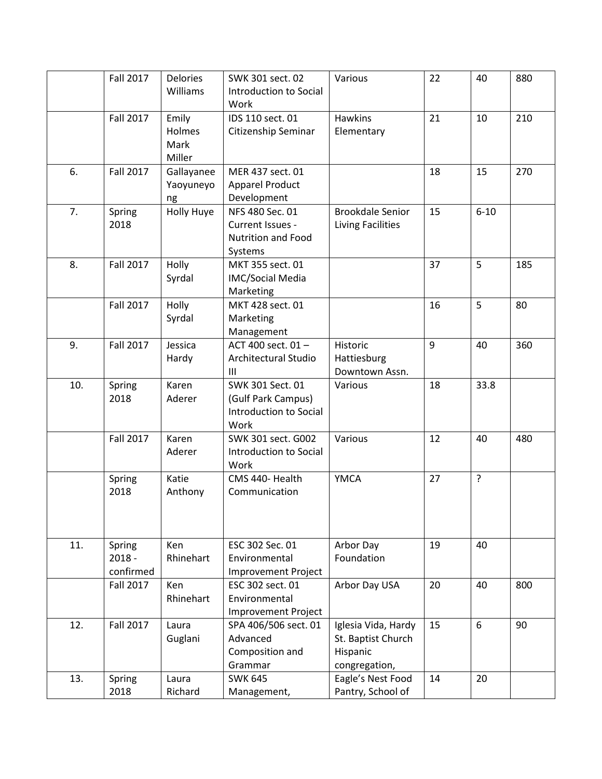|     | <b>Fall 2017</b>                | Delories                          | SWK 301 sect. 02                                                            | Various                                                                | 22 | 40       | 880 |
|-----|---------------------------------|-----------------------------------|-----------------------------------------------------------------------------|------------------------------------------------------------------------|----|----------|-----|
|     |                                 | Williams                          | Introduction to Social<br>Work                                              |                                                                        |    |          |     |
|     | <b>Fall 2017</b>                | Emily<br>Holmes<br>Mark<br>Miller | IDS 110 sect. 01<br>Citizenship Seminar                                     | <b>Hawkins</b><br>Elementary                                           | 21 | 10       | 210 |
| 6.  | <b>Fall 2017</b>                | Gallayanee<br>Yaoyuneyo<br>ng     | MER 437 sect. 01<br><b>Apparel Product</b><br>Development                   |                                                                        | 18 | 15       | 270 |
| 7.  | Spring<br>2018                  | <b>Holly Huye</b>                 | NFS 480 Sec. 01<br>Current Issues -<br><b>Nutrition and Food</b><br>Systems | <b>Brookdale Senior</b><br>Living Facilities                           | 15 | $6 - 10$ |     |
| 8.  | <b>Fall 2017</b>                | Holly<br>Syrdal                   | MKT 355 sect. 01<br>IMC/Social Media<br>Marketing                           |                                                                        | 37 | 5        | 185 |
|     | <b>Fall 2017</b>                | Holly<br>Syrdal                   | MKT 428 sect. 01<br>Marketing<br>Management                                 |                                                                        | 16 | 5        | 80  |
| 9.  | <b>Fall 2017</b>                | Jessica<br>Hardy                  | ACT 400 sect. 01-<br>Architectural Studio<br>Ш                              | Historic<br>Hattiesburg<br>Downtown Assn.                              | 9  | 40       | 360 |
| 10. | Spring<br>2018                  | Karen<br>Aderer                   | SWK 301 Sect. 01<br>(Gulf Park Campus)<br>Introduction to Social<br>Work    | Various                                                                | 18 | 33.8     |     |
|     | <b>Fall 2017</b>                | Karen<br>Aderer                   | SWK 301 sect. G002<br>Introduction to Social<br>Work                        | Various                                                                | 12 | 40       | 480 |
|     | Spring<br>2018                  | Katie<br>Anthony                  | CMS 440- Health<br>Communication                                            | <b>YMCA</b>                                                            | 27 | ?        |     |
| 11. | Spring<br>$2018 -$<br>confirmed | Ken<br>Rhinehart                  | ESC 302 Sec. 01<br>Environmental<br><b>Improvement Project</b>              | Arbor Day<br>Foundation                                                | 19 | 40       |     |
|     | <b>Fall 2017</b>                | Ken<br>Rhinehart                  | ESC 302 sect. 01<br>Environmental<br><b>Improvement Project</b>             | Arbor Day USA                                                          | 20 | 40       | 800 |
| 12. | <b>Fall 2017</b>                | Laura<br>Guglani                  | SPA 406/506 sect. 01<br>Advanced<br>Composition and<br>Grammar              | Iglesia Vida, Hardy<br>St. Baptist Church<br>Hispanic<br>congregation, | 15 | 6        | 90  |
| 13. | Spring<br>2018                  | Laura<br>Richard                  | <b>SWK 645</b><br>Management,                                               | Eagle's Nest Food<br>Pantry, School of                                 | 14 | 20       |     |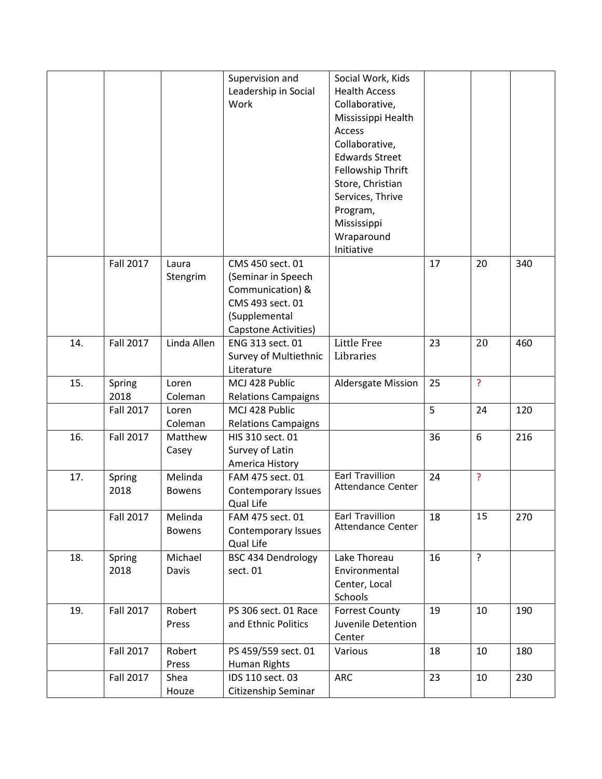|     |                  |                 | Supervision and                     | Social Work, Kids            |    |                |     |
|-----|------------------|-----------------|-------------------------------------|------------------------------|----|----------------|-----|
|     |                  |                 | Leadership in Social                | <b>Health Access</b>         |    |                |     |
|     |                  |                 | Work                                | Collaborative,               |    |                |     |
|     |                  |                 |                                     | Mississippi Health           |    |                |     |
|     |                  |                 |                                     | Access                       |    |                |     |
|     |                  |                 |                                     | Collaborative,               |    |                |     |
|     |                  |                 |                                     | <b>Edwards Street</b>        |    |                |     |
|     |                  |                 |                                     | Fellowship Thrift            |    |                |     |
|     |                  |                 |                                     | Store, Christian             |    |                |     |
|     |                  |                 |                                     | Services, Thrive             |    |                |     |
|     |                  |                 |                                     | Program,                     |    |                |     |
|     |                  |                 |                                     | Mississippi                  |    |                |     |
|     |                  |                 |                                     | Wraparound                   |    |                |     |
|     |                  |                 |                                     | Initiative                   |    |                |     |
|     | <b>Fall 2017</b> | Laura           | CMS 450 sect. 01                    |                              | 17 | 20             | 340 |
|     |                  | Stengrim        | (Seminar in Speech                  |                              |    |                |     |
|     |                  |                 | Communication) &                    |                              |    |                |     |
|     |                  |                 | CMS 493 sect. 01                    |                              |    |                |     |
|     |                  |                 | (Supplemental                       |                              |    |                |     |
|     |                  |                 | Capstone Activities)                |                              |    |                |     |
| 14. | <b>Fall 2017</b> | Linda Allen     | ENG 313 sect. 01                    | Little Free                  | 23 | 20             | 460 |
|     |                  |                 | Survey of Multiethnic               | Libraries                    |    |                |     |
|     |                  |                 | Literature                          |                              |    |                |     |
| 15. | Spring           | Loren           | MCJ 428 Public                      | Aldersgate Mission           | 25 | <sup>2</sup>   |     |
|     | 2018             | Coleman         | <b>Relations Campaigns</b>          |                              |    |                |     |
|     | <b>Fall 2017</b> | Loren           | MCJ 428 Public                      |                              | 5  | 24             | 120 |
|     |                  | Coleman         | <b>Relations Campaigns</b>          |                              |    |                |     |
| 16. | <b>Fall 2017</b> | Matthew         | HIS 310 sect. 01                    |                              | 36 | 6              | 216 |
|     |                  | Casey           | Survey of Latin                     |                              |    |                |     |
|     |                  |                 | America History                     | <b>Earl Travillion</b>       |    |                |     |
| 17. | Spring           | Melinda         | FAM 475 sect. 01                    | <b>Attendance Center</b>     | 24 | ?              |     |
|     | 2018             | <b>Bowens</b>   | Contemporary Issues                 |                              |    |                |     |
|     |                  |                 | Qual Life                           | <b>Earl Travillion</b>       |    |                |     |
|     | <b>Fall 2017</b> | Melinda         | FAM 475 sect. 01                    | Attendance Center            | 18 | 15             | 270 |
|     |                  | <b>Bowens</b>   | Contemporary Issues                 |                              |    |                |     |
|     |                  |                 | Qual Life                           |                              |    |                |     |
| 18. | Spring           | Michael         | <b>BSC 434 Dendrology</b>           | Lake Thoreau                 | 16 | $\overline{?}$ |     |
|     | 2018             | Davis           | sect. 01                            | Environmental                |    |                |     |
|     |                  |                 |                                     | Center, Local                |    |                |     |
|     |                  | Robert          | PS 306 sect. 01 Race                | Schools                      | 19 |                |     |
| 19. | <b>Fall 2017</b> |                 |                                     | <b>Forrest County</b>        |    | 10             | 190 |
|     |                  | Press           | and Ethnic Politics                 | Juvenile Detention<br>Center |    |                |     |
|     |                  |                 |                                     |                              |    |                |     |
|     | <b>Fall 2017</b> | Robert<br>Press | PS 459/559 sect. 01<br>Human Rights | Various                      | 18 | 10             | 180 |
|     |                  |                 |                                     |                              |    |                |     |
|     | <b>Fall 2017</b> | Shea            | IDS 110 sect. 03                    | <b>ARC</b>                   | 23 | 10             | 230 |
|     |                  | Houze           | Citizenship Seminar                 |                              |    |                |     |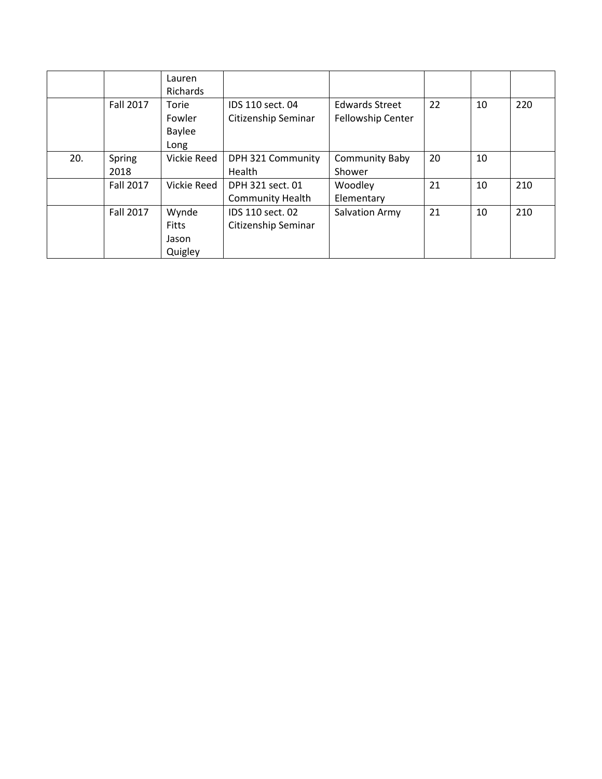|     |                | Lauren<br>Richards                        |                                             |                                            |    |    |     |
|-----|----------------|-------------------------------------------|---------------------------------------------|--------------------------------------------|----|----|-----|
|     | Fall 2017      | Torie<br>Fowler<br><b>Baylee</b><br>Long  | IDS 110 sect. 04<br>Citizenship Seminar     | <b>Edwards Street</b><br>Fellowship Center | 22 | 10 | 220 |
| 20. | Spring<br>2018 | Vickie Reed                               | DPH 321 Community<br>Health                 | <b>Community Baby</b><br>Shower            | 20 | 10 |     |
|     | Fall 2017      | Vickie Reed                               | DPH 321 sect. 01<br><b>Community Health</b> | Woodley<br>Elementary                      | 21 | 10 | 210 |
|     | Fall 2017      | Wynde<br><b>Fitts</b><br>Jason<br>Quigley | IDS 110 sect. 02<br>Citizenship Seminar     | Salvation Army                             | 21 | 10 | 210 |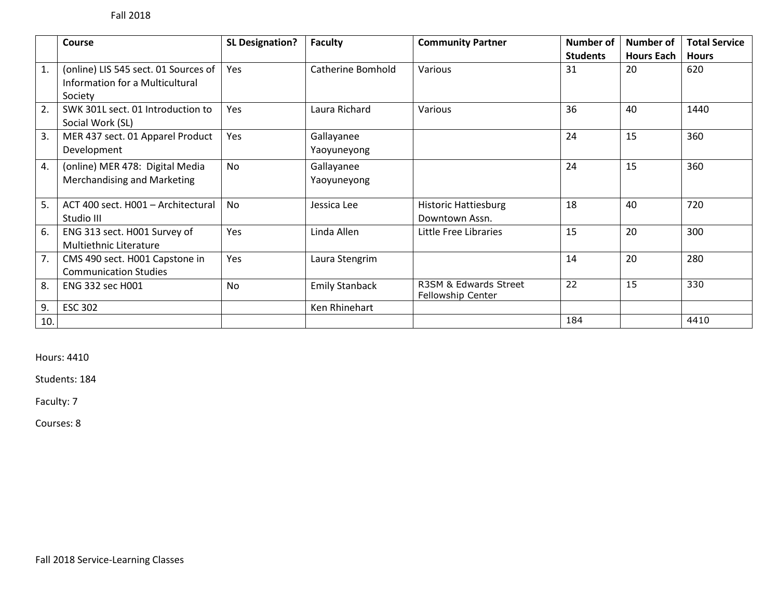|     | <b>Course</b>                                                                      | <b>SL Designation?</b> | <b>Faculty</b>            | <b>Community Partner</b>                      | <b>Number of</b> | <b>Number of</b>  | <b>Total Service</b> |
|-----|------------------------------------------------------------------------------------|------------------------|---------------------------|-----------------------------------------------|------------------|-------------------|----------------------|
|     |                                                                                    |                        |                           |                                               | <b>Students</b>  | <b>Hours Each</b> | <b>Hours</b>         |
| 1.  | (online) LIS 545 sect. 01 Sources of<br>Information for a Multicultural<br>Society | Yes                    | Catherine Bomhold         | Various                                       | 31               | 20                | 620                  |
| 2.  | SWK 301L sect. 01 Introduction to<br>Social Work (SL)                              | Yes                    | Laura Richard             | Various                                       | 36               | 40                | 1440                 |
| 3.  | MER 437 sect. 01 Apparel Product<br>Development                                    | Yes                    | Gallayanee<br>Yaoyuneyong |                                               | 24               | 15                | 360                  |
| 4.  | (online) MER 478: Digital Media<br><b>Merchandising and Marketing</b>              | <b>No</b>              | Gallayanee<br>Yaoyuneyong |                                               | 24               | 15                | 360                  |
| 5.  | ACT 400 sect. H001 - Architectural<br>Studio III                                   | <b>No</b>              | Jessica Lee               | <b>Historic Hattiesburg</b><br>Downtown Assn. | 18               | 40                | 720                  |
| 6.  | ENG 313 sect. H001 Survey of<br>Multiethnic Literature                             | Yes                    | Linda Allen               | Little Free Libraries                         | 15               | 20                | 300                  |
| 7.  | CMS 490 sect. H001 Capstone in<br><b>Communication Studies</b>                     | Yes                    | Laura Stengrim            |                                               | 14               | 20                | 280                  |
| 8.  | <b>ENG 332 sec H001</b>                                                            | <b>No</b>              | <b>Emily Stanback</b>     | R3SM & Edwards Street<br>Fellowship Center    | 22               | 15                | 330                  |
| 9.  | <b>ESC 302</b>                                                                     |                        | Ken Rhinehart             |                                               |                  |                   |                      |
| 10. |                                                                                    |                        |                           |                                               | 184              |                   | 4410                 |

Hours: 4410

Students: 184

Faculty: 7

Courses: 8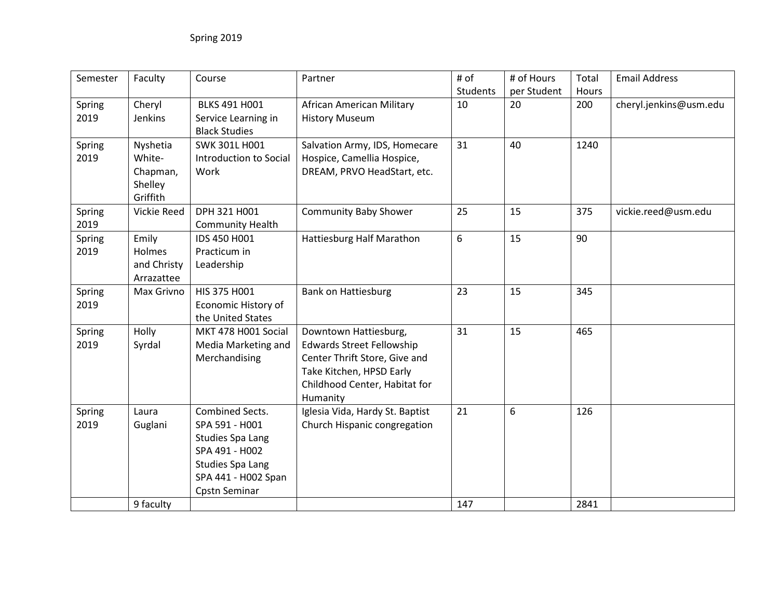| Semester | Faculty            | Course                  | Partner                          | # of     | # of Hours  | Total | <b>Email Address</b>   |
|----------|--------------------|-------------------------|----------------------------------|----------|-------------|-------|------------------------|
|          |                    |                         |                                  | Students | per Student | Hours |                        |
| Spring   | Cheryl             | <b>BLKS 491 H001</b>    | African American Military        | 10       | 20          | 200   | cheryl.jenkins@usm.edu |
| 2019     | Jenkins            | Service Learning in     | <b>History Museum</b>            |          |             |       |                        |
|          |                    | <b>Black Studies</b>    |                                  |          |             |       |                        |
| Spring   | Nyshetia           | <b>SWK 301L H001</b>    | Salvation Army, IDS, Homecare    | 31       | 40          | 1240  |                        |
| 2019     | White-             | Introduction to Social  | Hospice, Camellia Hospice,       |          |             |       |                        |
|          | Chapman,           | Work                    | DREAM, PRVO HeadStart, etc.      |          |             |       |                        |
|          | Shelley            |                         |                                  |          |             |       |                        |
|          | Griffith           |                         |                                  |          |             |       |                        |
| Spring   | <b>Vickie Reed</b> | DPH 321 H001            | <b>Community Baby Shower</b>     | 25       | 15          | 375   | vickie.reed@usm.edu    |
| 2019     |                    | <b>Community Health</b> |                                  |          |             |       |                        |
| Spring   | Emily              | IDS 450 H001            | Hattiesburg Half Marathon        | 6        | 15          | 90    |                        |
| 2019     | Holmes             | Practicum in            |                                  |          |             |       |                        |
|          | and Christy        | Leadership              |                                  |          |             |       |                        |
|          | Arrazattee         |                         |                                  |          |             |       |                        |
| Spring   | Max Grivno         | HIS 375 H001            | <b>Bank on Hattiesburg</b>       | 23       | 15          | 345   |                        |
| 2019     |                    | Economic History of     |                                  |          |             |       |                        |
|          |                    | the United States       |                                  |          |             |       |                        |
| Spring   | Holly              | MKT 478 H001 Social     | Downtown Hattiesburg,            | 31       | 15          | 465   |                        |
| 2019     | Syrdal             | Media Marketing and     | <b>Edwards Street Fellowship</b> |          |             |       |                        |
|          |                    | Merchandising           | Center Thrift Store, Give and    |          |             |       |                        |
|          |                    |                         | Take Kitchen, HPSD Early         |          |             |       |                        |
|          |                    |                         | Childhood Center, Habitat for    |          |             |       |                        |
|          |                    |                         | Humanity                         |          |             |       |                        |
| Spring   | Laura              | Combined Sects.         | Iglesia Vida, Hardy St. Baptist  | 21       | 6           | 126   |                        |
| 2019     | Guglani            | SPA 591 - H001          | Church Hispanic congregation     |          |             |       |                        |
|          |                    | <b>Studies Spa Lang</b> |                                  |          |             |       |                        |
|          |                    | SPA 491 - H002          |                                  |          |             |       |                        |
|          |                    | <b>Studies Spa Lang</b> |                                  |          |             |       |                        |
|          |                    | SPA 441 - H002 Span     |                                  |          |             |       |                        |
|          |                    | Cpstn Seminar           |                                  |          |             |       |                        |
|          | 9 faculty          |                         |                                  | 147      |             | 2841  |                        |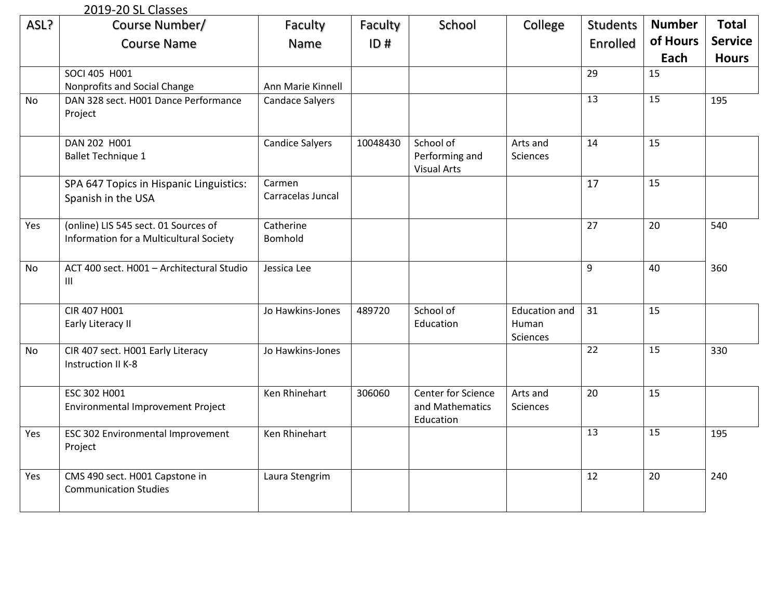## 2019-20 SL Classes

| ASL? | Course Number/                                                                  | Faculty                     | Faculty  | School                                             | College                                   | <b>Students</b> | <b>Number</b>   | <b>Total</b>   |
|------|---------------------------------------------------------------------------------|-----------------------------|----------|----------------------------------------------------|-------------------------------------------|-----------------|-----------------|----------------|
|      | <b>Course Name</b>                                                              | Name                        | ID#      |                                                    |                                           | Enrolled        | of Hours        | <b>Service</b> |
|      |                                                                                 |                             |          |                                                    |                                           |                 | Each            | <b>Hours</b>   |
|      | SOCI 405 H001                                                                   |                             |          |                                                    |                                           | 29              | 15              |                |
|      | Nonprofits and Social Change                                                    | Ann Marie Kinnell           |          |                                                    |                                           |                 |                 |                |
| No.  | DAN 328 sect. H001 Dance Performance<br>Project                                 | <b>Candace Salyers</b>      |          |                                                    |                                           | 13              | 15              | 195            |
|      | DAN 202 H001<br><b>Ballet Technique 1</b>                                       | <b>Candice Salyers</b>      | 10048430 | School of<br>Performing and<br><b>Visual Arts</b>  | Arts and<br>Sciences                      | 14              | 15              |                |
|      | SPA 647 Topics in Hispanic Linguistics:<br>Spanish in the USA                   | Carmen<br>Carracelas Juncal |          |                                                    |                                           | 17              | 15              |                |
| Yes  | (online) LIS 545 sect. 01 Sources of<br>Information for a Multicultural Society | Catherine<br>Bomhold        |          |                                                    |                                           | 27              | 20              | 540            |
| No   | ACT 400 sect. H001 - Architectural Studio<br>$\mathop{\rm III}$                 | Jessica Lee                 |          |                                                    |                                           | 9               | 40              | 360            |
|      | CIR 407 H001<br>Early Literacy II                                               | Jo Hawkins-Jones            | 489720   | School of<br>Education                             | <b>Education and</b><br>Human<br>Sciences | 31              | 15              |                |
| No   | CIR 407 sect. H001 Early Literacy<br>Instruction II K-8                         | Jo Hawkins-Jones            |          |                                                    |                                           | $\overline{22}$ | 15              | 330            |
|      | ESC 302 H001<br>Environmental Improvement Project                               | Ken Rhinehart               | 306060   | Center for Science<br>and Mathematics<br>Education | Arts and<br>Sciences                      | 20              | 15              |                |
| Yes  | ESC 302 Environmental Improvement<br>Project                                    | Ken Rhinehart               |          |                                                    |                                           | $\overline{13}$ | $\overline{15}$ | 195            |
| Yes  | CMS 490 sect. H001 Capstone in<br><b>Communication Studies</b>                  | Laura Stengrim              |          |                                                    |                                           | 12              | 20              | 240            |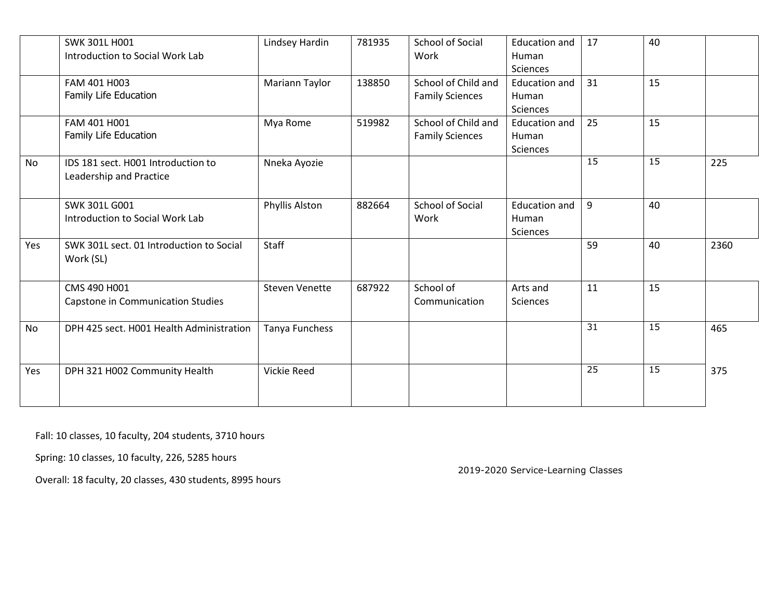|           | SWK 301L H001<br>Introduction to Social Work Lab              | Lindsey Hardin        | 781935 | School of Social<br>Work                      | <b>Education and</b><br>Human<br>Sciences | 17              | 40 |      |
|-----------|---------------------------------------------------------------|-----------------------|--------|-----------------------------------------------|-------------------------------------------|-----------------|----|------|
|           | FAM 401 H003<br>Family Life Education                         | Mariann Taylor        | 138850 | School of Child and<br><b>Family Sciences</b> | <b>Education and</b><br>Human<br>Sciences | 31              | 15 |      |
|           | FAM 401 H001<br>Family Life Education                         | Mya Rome              | 519982 | School of Child and<br><b>Family Sciences</b> | <b>Education and</b><br>Human<br>Sciences | 25              | 15 |      |
| No        | IDS 181 sect. H001 Introduction to<br>Leadership and Practice | Nneka Ayozie          |        |                                               |                                           | $\overline{15}$ | 15 | 225  |
|           | SWK 301L G001<br>Introduction to Social Work Lab              | Phyllis Alston        | 882664 | <b>School of Social</b><br>Work               | <b>Education and</b><br>Human<br>Sciences | 9               | 40 |      |
| Yes       | SWK 301L sect. 01 Introduction to Social<br>Work (SL)         | Staff                 |        |                                               |                                           | 59              | 40 | 2360 |
|           | CMS 490 H001<br>Capstone in Communication Studies             | <b>Steven Venette</b> | 687922 | School of<br>Communication                    | Arts and<br>Sciences                      | 11              | 15 |      |
| <b>No</b> | DPH 425 sect. H001 Health Administration                      | Tanya Funchess        |        |                                               |                                           | $\overline{31}$ | 15 | 465  |
| Yes       | DPH 321 H002 Community Health                                 | Vickie Reed           |        |                                               |                                           | 25              | 15 | 375  |

Fall: 10 classes, 10 faculty, 204 students, 3710 hours

Spring: 10 classes, 10 faculty, 226, 5285 hours

Overall: 18 faculty, 20 classes, 430 students, 8995 hours

2019-2020 Service-Learning Classes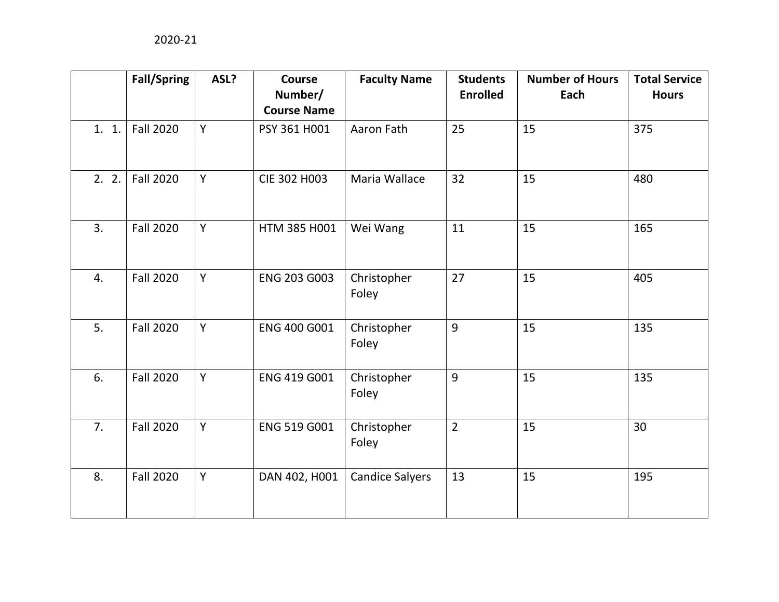|       | <b>Fall/Spring</b> | ASL? | <b>Course</b><br>Number/<br><b>Course Name</b> | <b>Faculty Name</b>    | <b>Students</b><br><b>Enrolled</b> | <b>Number of Hours</b><br>Each | <b>Total Service</b><br><b>Hours</b> |
|-------|--------------------|------|------------------------------------------------|------------------------|------------------------------------|--------------------------------|--------------------------------------|
| 1. 1. | <b>Fall 2020</b>   | Y    | PSY 361 H001                                   | Aaron Fath             | 25                                 | 15                             | 375                                  |
| 2.2.  | <b>Fall 2020</b>   | Y    | CIE 302 H003                                   | Maria Wallace          | 32                                 | 15                             | 480                                  |
| 3.    | <b>Fall 2020</b>   | Y    | HTM 385 H001                                   | Wei Wang               | 11                                 | 15                             | 165                                  |
| 4.    | <b>Fall 2020</b>   | Y    | ENG 203 G003                                   | Christopher<br>Foley   | 27                                 | 15                             | 405                                  |
| 5.    | <b>Fall 2020</b>   | Y    | ENG 400 G001                                   | Christopher<br>Foley   | 9                                  | 15                             | 135                                  |
| 6.    | <b>Fall 2020</b>   | Y    | ENG 419 G001                                   | Christopher<br>Foley   | 9                                  | 15                             | 135                                  |
| 7.    | <b>Fall 2020</b>   | Y    | ENG 519 G001                                   | Christopher<br>Foley   | $\overline{2}$                     | 15                             | 30                                   |
| 8.    | <b>Fall 2020</b>   | Y    | DAN 402, H001                                  | <b>Candice Salyers</b> | 13                                 | 15                             | 195                                  |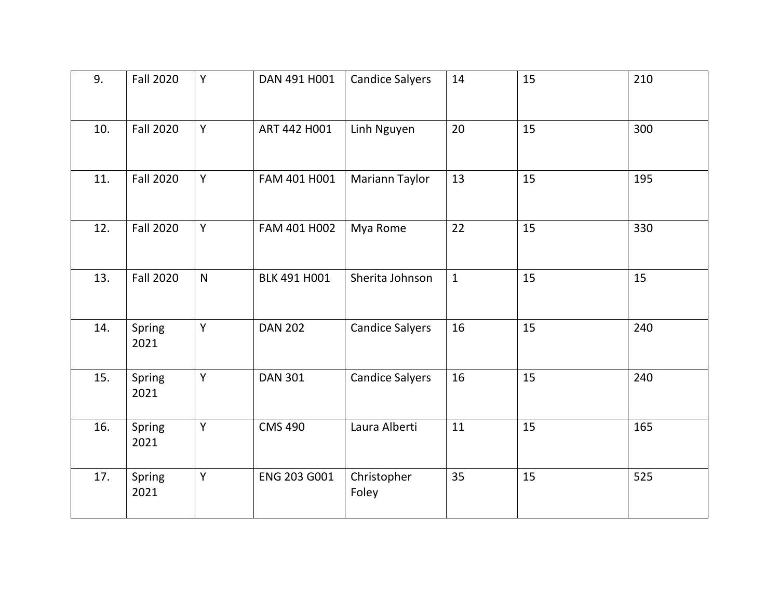| 9.  | <b>Fall 2020</b> | Y            | DAN 491 H001   | <b>Candice Salyers</b> | 14           | 15 | 210 |
|-----|------------------|--------------|----------------|------------------------|--------------|----|-----|
| 10. | <b>Fall 2020</b> | Y            | ART 442 H001   | Linh Nguyen            | 20           | 15 | 300 |
| 11. | <b>Fall 2020</b> | Y            | FAM 401 H001   | Mariann Taylor         | 13           | 15 | 195 |
| 12. | <b>Fall 2020</b> | Y            | FAM 401 H002   | Mya Rome               | 22           | 15 | 330 |
| 13. | <b>Fall 2020</b> | $\mathsf{N}$ | BLK 491 H001   | Sherita Johnson        | $\mathbf{1}$ | 15 | 15  |
| 14. | Spring<br>2021   | Y            | <b>DAN 202</b> | <b>Candice Salyers</b> | 16           | 15 | 240 |
| 15. | Spring<br>2021   | Y            | <b>DAN 301</b> | <b>Candice Salyers</b> | 16           | 15 | 240 |
| 16. | Spring<br>2021   | Y            | <b>CMS 490</b> | Laura Alberti          | 11           | 15 | 165 |
| 17. | Spring<br>2021   | Y            | ENG 203 G001   | Christopher<br>Foley   | 35           | 15 | 525 |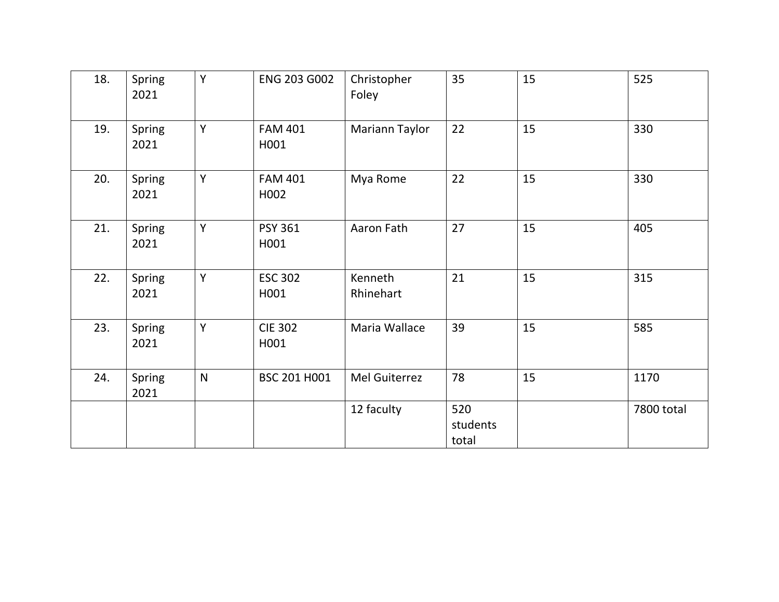| 18. | Spring<br>2021 | Y         | ENG 203 G002           | Christopher<br>Foley | 35                       | 15 | 525        |
|-----|----------------|-----------|------------------------|----------------------|--------------------------|----|------------|
| 19. | Spring<br>2021 | Y         | <b>FAM 401</b><br>H001 | Mariann Taylor       | 22                       | 15 | 330        |
| 20. | Spring<br>2021 | Y         | <b>FAM 401</b><br>H002 | Mya Rome             | 22                       | 15 | 330        |
| 21. | Spring<br>2021 | Y         | <b>PSY 361</b><br>H001 | Aaron Fath           | 27                       | 15 | 405        |
| 22. | Spring<br>2021 | Y         | <b>ESC 302</b><br>H001 | Kenneth<br>Rhinehart | 21                       | 15 | 315        |
| 23. | Spring<br>2021 | Y         | <b>CIE 302</b><br>H001 | Maria Wallace        | 39                       | 15 | 585        |
| 24. | Spring<br>2021 | ${\sf N}$ | BSC 201 H001           | Mel Guiterrez        | 78                       | 15 | 1170       |
|     |                |           |                        | 12 faculty           | 520<br>students<br>total |    | 7800 total |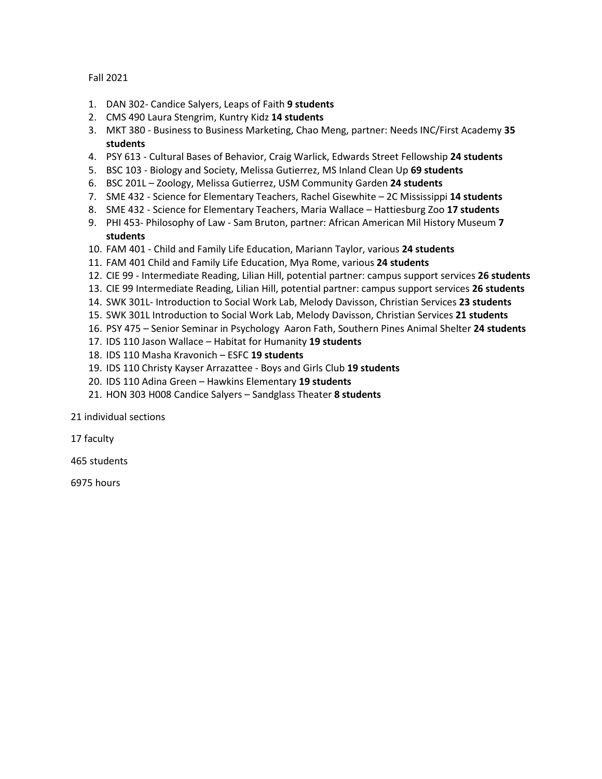Fall 2021

- 1. DAN 302- Candice Salyers, Leaps of Faith **9 students**
- 2. CMS 490 Laura Stengrim, Kuntry Kidz **14 students**
- 3. MKT 380 Business to Business Marketing, Chao Meng, partner: Needs INC/First Academy **35 students**
- 4. PSY 613 Cultural Bases of Behavior, Craig Warlick, Edwards Street Fellowship **24 students**
- 5. BSC 103 Biology and Society, Melissa Gutierrez, MS Inland Clean Up **69 students**
- 6. BSC 201L Zoology, Melissa Gutierrez, USM Community Garden **24 students**
- 7. SME 432 Science for Elementary Teachers, Rachel Gisewhite 2C Mississippi **14 students**
- 8. SME 432 Science for Elementary Teachers, Maria Wallace Hattiesburg Zoo **17 students**
- 9. PHI 453- Philosophy of Law Sam Bruton, partner: African American Mil History Museum **7 students**
- 10. FAM 401 Child and Family Life Education, Mariann Taylor, various **24 students**
- 11. FAM 401 Child and Family Life Education, Mya Rome, various **24 students**
- 12. CIE 99 Intermediate Reading, Lilian Hill, potential partner: campus support services **26 students**
- 13. CIE 99 Intermediate Reading, Lilian Hill, potential partner: campus support services **26 students**
- 14. SWK 301L- Introduction to Social Work Lab, Melody Davisson, Christian Services **23 students**
- 15. SWK 301L Introduction to Social Work Lab, Melody Davisson, Christian Services **21 students**
- 16. PSY 475 Senior Seminar in Psychology Aaron Fath, Southern Pines Animal Shelter **24 students**
- 17. IDS 110 Jason Wallace Habitat for Humanity **19 students**
- 18. IDS 110 Masha Kravonich ESFC **19 students**
- 19. IDS 110 Christy Kayser Arrazattee Boys and Girls Club **19 students**
- 20. IDS 110 Adina Green Hawkins Elementary **19 students**
- 21. HON 303 H008 Candice Salyers Sandglass Theater **8 students**

21 individual sections

17 faculty

465 students

6975 hours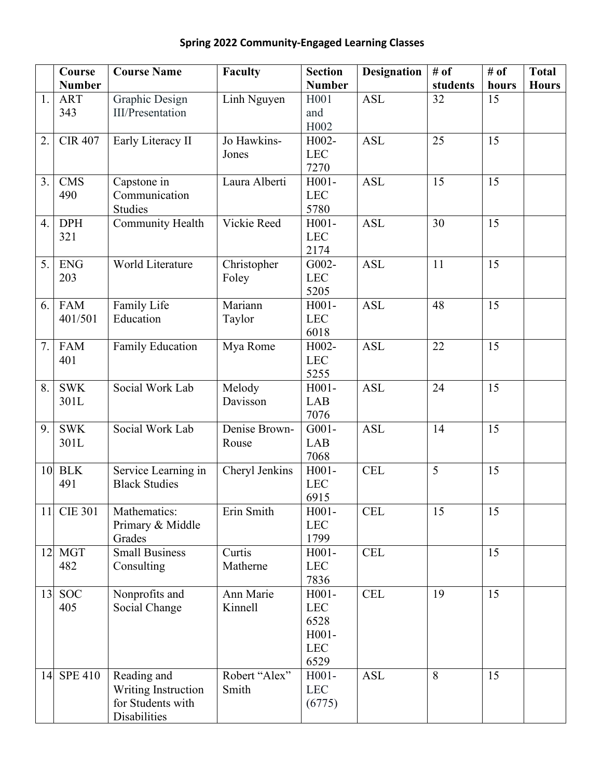|  | <b>Spring 2022 Community-Engaged Learning Classes</b> |  |
|--|-------------------------------------------------------|--|
|--|-------------------------------------------------------|--|

|                 | Course            | <b>Course Name</b>           | Faculty        | <b>Section</b>        | <b>Designation</b> | # of           | # of  | <b>Total</b> |
|-----------------|-------------------|------------------------------|----------------|-----------------------|--------------------|----------------|-------|--------------|
|                 | <b>Number</b>     |                              |                | <b>Number</b>         |                    | students       | hours | <b>Hours</b> |
| 1.              | <b>ART</b>        | <b>Graphic Design</b>        | Linh Nguyen    | H001                  | <b>ASL</b>         | 32             | 15    |              |
|                 | 343               | <b>III/Presentation</b>      |                | and                   |                    |                |       |              |
|                 |                   |                              |                | H <sub>0</sub> 02     |                    |                |       |              |
| 2.              | <b>CIR 407</b>    | Early Literacy II            | Jo Hawkins-    | H002-                 | <b>ASL</b>         | 25             | 15    |              |
|                 |                   |                              | Jones          | <b>LEC</b>            |                    |                |       |              |
|                 |                   |                              |                | 7270<br>$H001-$       |                    | 15             | 15    |              |
| 3.              | <b>CMS</b><br>490 | Capstone in<br>Communication | Laura Alberti  | <b>LEC</b>            | <b>ASL</b>         |                |       |              |
|                 |                   | <b>Studies</b>               |                | 5780                  |                    |                |       |              |
| 4.              | <b>DPH</b>        | <b>Community Health</b>      | Vickie Reed    | $H001-$               | <b>ASL</b>         | 30             | 15    |              |
|                 | 321               |                              |                | <b>LEC</b>            |                    |                |       |              |
|                 |                   |                              |                | 2174                  |                    |                |       |              |
| 5.              | <b>ENG</b>        | World Literature             | Christopher    | G002-                 | <b>ASL</b>         | 11             | 15    |              |
|                 | 203               |                              | Foley          | <b>LEC</b>            |                    |                |       |              |
|                 |                   |                              |                | 5205                  |                    |                |       |              |
| 6.              | <b>FAM</b>        | Family Life                  | Mariann        | $H001-$               | <b>ASL</b>         | 48             | 15    |              |
|                 | 401/501           | Education                    | Taylor         | <b>LEC</b>            |                    |                |       |              |
|                 |                   |                              |                | 6018                  |                    |                |       |              |
| 7.              | <b>FAM</b>        | Family Education             | Mya Rome       | H002-                 | <b>ASL</b>         | 22             | 15    |              |
|                 | 401               |                              |                | <b>LEC</b>            |                    |                |       |              |
|                 |                   |                              |                | 5255                  |                    |                |       |              |
| 8.              | <b>SWK</b>        | Social Work Lab              | Melody         | $H001-$               | <b>ASL</b>         | 24             | 15    |              |
|                 | 301L              |                              | Davisson       | LAB                   |                    |                |       |              |
| 9.              | <b>SWK</b>        | Social Work Lab              | Denise Brown-  | 7076<br>$G001-$       | <b>ASL</b>         | 14             | 15    |              |
|                 | 301L              |                              | Rouse          | LAB                   |                    |                |       |              |
|                 |                   |                              |                | 7068                  |                    |                |       |              |
|                 | <b>10 BLK</b>     | Service Learning in          | Cheryl Jenkins | $H001-$               | <b>CEL</b>         | $\overline{5}$ | 15    |              |
|                 | 491               | <b>Black Studies</b>         |                | <b>LEC</b>            |                    |                |       |              |
|                 |                   |                              |                | 6915                  |                    |                |       |              |
| 11              | <b>CIE 301</b>    | Mathematics:                 | Erin Smith     | $H001-$               | <b>CEL</b>         | 15             | 15    |              |
|                 |                   | Primary & Middle             |                | <b>LEC</b>            |                    |                |       |              |
|                 |                   | Grades                       |                | 1799                  |                    |                |       |              |
| 12 <sub>1</sub> | <b>MGT</b>        | <b>Small Business</b>        | Curtis         | $H001-$               | <b>CEL</b>         |                | 15    |              |
|                 | 482               | Consulting                   | Matherne       | <b>LEC</b>            |                    |                |       |              |
|                 |                   |                              |                | 7836                  |                    |                |       |              |
| 13              | <b>SOC</b>        | Nonprofits and               | Ann Marie      | $H001-$               | <b>CEL</b>         | 19             | 15    |              |
|                 | 405               | Social Change                | Kinnell        | <b>LEC</b>            |                    |                |       |              |
|                 |                   |                              |                | 6528                  |                    |                |       |              |
|                 |                   |                              |                | $H001-$<br><b>LEC</b> |                    |                |       |              |
|                 |                   |                              |                | 6529                  |                    |                |       |              |
|                 | 14 SPE 410        | Reading and                  | Robert "Alex"  | $H001-$               | <b>ASL</b>         | 8              | 15    |              |
|                 |                   | Writing Instruction          | Smith          | <b>LEC</b>            |                    |                |       |              |
|                 |                   | for Students with            |                | (6775)                |                    |                |       |              |
|                 |                   | Disabilities                 |                |                       |                    |                |       |              |